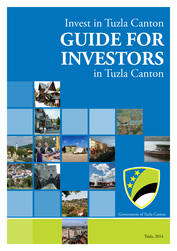# Invest in Tuzla Canton **GUIDE FOR INVESTORS** in Tuzla Canton



**Invest in Tuzla Canton – Guide for investors in Tuzla Canton** 

Tuzla, 2014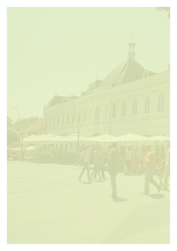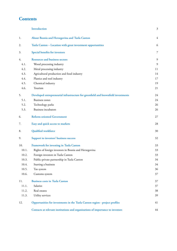|       | Introduction                                                                       | 3  |
|-------|------------------------------------------------------------------------------------|----|
| 1.    | About Bosnia and Herzegovina and Tuzla Canton                                      | 4  |
| 2.    | Tuzla Canton - Location with great investment opportunities                        | 6  |
| 3.    | Special benefits for investors                                                     | 7  |
| 4.    | <b>Resources and business sectors</b>                                              | 9  |
| 4.1.  | Wood processing industry                                                           | 9  |
| 4.2.  | Metal processing industry                                                          | 11 |
| 4.3.  | Agricultural production and food industry                                          | 14 |
| 4.4.  | Plastics and tool industry                                                         | 17 |
| 4.5.  | Chemical industry                                                                  | 19 |
| 4.6.  | Tourism                                                                            | 21 |
| 5.    | Developed entrepreneurial infrastructure for greenfield and brownfield investments | 24 |
| 5.1.  | <b>Business zones</b>                                                              | 24 |
| 5.2.  | Technology parks                                                                   | 26 |
| 5.3.  | Business incubators                                                                | 26 |
| 6.    | <b>Reform-oriented Government</b>                                                  | 27 |
| 7.    | Easy and quick access to markets                                                   | 28 |
| 8.    | Qualified workforce                                                                | 30 |
| 9.    | Support to investors' business success                                             | 32 |
| 10.   | Framework for investing in Tuzla Canton                                            | 33 |
| 10.1. | Rights of foreign investors in Bosnia and Herzegovina                              | 33 |
| 10.2. | Foreign investors in Tuzla Canton                                                  | 33 |
| 10.3. | Public-private partnership in Tuzla Canton                                         | 34 |
| 10.4. | Starting a business                                                                | 34 |
| 10.5. | Tax system                                                                         | 36 |
| 10.6. | Customs system                                                                     | 37 |
| 11.   | <b>Business costs in Tuzla Canton</b>                                              | 37 |
| 11.1. | Salaries                                                                           | 37 |
| 11.2. | Real estates                                                                       | 38 |
| 11.3. | Utility services                                                                   | 39 |
| 12.   | Opportunities for investments in the Tuzla Canton region - project profiles        | 41 |
|       | Contacts at relevant institutions and organizations of importance to investors     | 44 |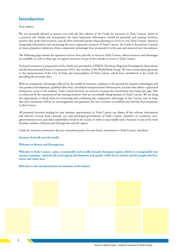### **Introduction**

Dear readers,

We are extremely pleased to present you with the first edition of the Guide for investors in Tuzla Canton, which in a practical and simple way incorporates the most important information needed by potential and existing investors, persons who work with investors, and all other interested parties when planning to invest or visit Tuzla Canton. Aimed at integrating information and promoting the most important resources of Tuzla Canton, the Guide is focused on Canton's six most propulsive industries whose comparative advantages have promoted it in the past and attracted new investments.

The following pages answer the questions such as: how and why to invest in Tuzla Canton, which resources and advantages are available, as well as what type of support investors can get if they decide to invest in Tuzla Canton.

Technical assistance to preparation of the Guide was provided by NERDA (Northeast Regional Development Association) and the International Finance Corporation (IFC), the member of the World Bank Group. We owe a tremendous gratitude to the representatives of the City of Tuzla and municipalities of Tuzla Canton, which have contributed to the Guide by providing the necessary data.

With its comparative advantages reflected in the wealth of resources, tradition as the ground for modern technologies and new products development, qualified labor force, developed entrepreneurial infrastructure, location that allows a quick and inexpensive access to the markets, Tuzla Canton has been an attractive location for investments since long time ago. That is evidenced by the statements of the existing investors who are successfully doing business in Tuzla Canton. We are using this opportunity to thank them for witnessing and confirming the comparative advantages of the Canton, and we hope that their statements will be an encouragement and guarantee for new investors to establish and develop their businesses in this Canton.

All potential investors looking for new business opportunities in Tuzla Canton can obtain all the relevant information and advisory services from cantonal, city and municipal governments of Tuzla Canton, chambers of commerce, nongovernmental sector, and other stakeholders listed in the Guide, in order to successfully start a business in one of the most dynamic markets of Bosnia and Herzegovina and the region.

Guide for investors summarizes the key orientation points for your future investment in Tuzla Canton, therefore:

**Investors from all over the world,** 

#### **Welcome to Bosnia and Herzegovina,**

**Welcome to Tuzla Canton - open, economically and socially dynamic European region, which in a recognizable way ensures economic, cultural and social appeal, development and quality of life for its citizens and the people who live, invest and create here.** 

**Welcome to the entrepreneurial environment of the future!**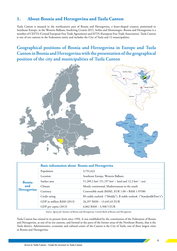### **1. About Bosnia and Herzegovina and Tuzla Canton**

Tuzla Canton is situated in the northeastern part of Bosnia and Herzegovina, a heart-shaped country, positioned in Southeast Europe, in the Western Balkans, bordering Croatia (EU), Serbia and Montenegro. Bosnia and Herzegovina is a member of CEFTA (Central European Free Trade Agreement) and EFTA (European Free Trade Association). Tuzla Canton is one of ten cantons in the Federation entity and includes the City of Tuzla and 12 municipalities.

### **Geographical positions of Bosnia and Herzegovina in Europe and Tuzla Canton in Bosnia and Herzegovina with the presentation of the geographical position of the city and municipalities of Tuzla Canton**



|                    | Basic information about Bosnia and Herzegovina |                                                                                         |  |  |  |
|--------------------|------------------------------------------------|-----------------------------------------------------------------------------------------|--|--|--|
|                    | Population                                     | 3,791,622                                                                               |  |  |  |
|                    | Location                                       | Southeast Europe, Western Balkans                                                       |  |  |  |
| Bosnia             | Surface area                                   | 51,209.2 km <sup>2</sup> (51,197 km <sup>2</sup> – land and 12.2 km <sup>2</sup> – sea) |  |  |  |
|                    | Climate                                        | Mostly continental, Mediterranean in the south                                          |  |  |  |
| <b>Herzegovina</b> | Currency                                       | Convertible mark (BAM), EUR 1.00 = BAM 1.95580                                          |  |  |  |
|                    | Credit rating                                  | B3 stable outlook ("Moddy"), B stable outlook ("Standard&Poor's")                       |  |  |  |
|                    | GDP in million BAM (2013)                      | $26,297$ BAM $- 13,445.65$ EUR                                                          |  |  |  |
|                    | GDP per capita (2013)                          | 6,862 BAM $-$ 3,508.5 EUR                                                               |  |  |  |

*Source: Agency for Statistics of Bosnia and Herzegovina; Central Bank of Bosnia and Herzegovina*

Tuzla Canton has existed in its present form since 1994. It was established by the constitution of the Federation of Bosnia and Herzegovina, as one of its ten cantons, and formed in the parts of the former areas of the Northeast Bosnia, that is the Tuzla district. Administrative, economic and cultural center of the Canton is the City of Tuzla, one of three largest cities in Bosnia and Herzegovina.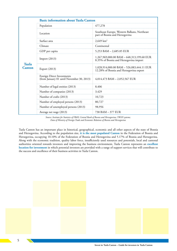|                        | <b>Basic information about Tuzla Canton</b>                             |                                                                                      |  |  |
|------------------------|-------------------------------------------------------------------------|--------------------------------------------------------------------------------------|--|--|
|                        | Population                                                              | 477,278                                                                              |  |  |
|                        | Location                                                                | Southeast Europe, Western Balkans, Northeast<br>part of Bosnia and Herzegovina       |  |  |
|                        | Surface area                                                            | $2,649$ km <sup>2</sup>                                                              |  |  |
|                        | Climate                                                                 | Continental                                                                          |  |  |
|                        | GDP per capita                                                          | 5,253 BAM - 2,685.85 EUR                                                             |  |  |
|                        | Import $(2013)$                                                         | 1,267,969,000.00 BAM - 648,313,199.60 EUR<br>8.35% of Bosnia and Herzegovina import  |  |  |
| <b>Tuzla</b><br>Canton | Export (2013)                                                           | 1,028,914,000.00 BAM - 526,083,444.11 EUR<br>12.28% of Bosnia and Herzegovina export |  |  |
|                        | Foreign Direct Investments<br>(from January 01 until November 30, 2013) | 4,014,473 BAM - 2,052,567 EUR                                                        |  |  |
|                        | Number of legal entities (2013)                                         | 8,406                                                                                |  |  |
|                        | Number of companies (2013)                                              | 3,429                                                                                |  |  |
|                        | Number of crafts (2013)                                                 | 10,723                                                                               |  |  |
|                        | Number of employed persons (2013)                                       | 80,727                                                                               |  |  |
|                        | Number of unemployed persons (2013)                                     | 98,956                                                                               |  |  |
|                        | Average net wage (2013)                                                 | 738 BAM - 377 EUR                                                                    |  |  |

*Source: Institute for Statistics of FBiH; Central Bank of Bosnia and Herzegovina; TRON systems; Data of Ministry of Foreign Trade and Economic Relations of Bosnia and Herzegovina*

Tuzla Canton has an important place in historical, geographical, economic and all other aspects of the state of Bosnia and Herzegovina. According to the population size, **it is the most populated Canton** in the Federation of Bosnia and Herzegovina, occupying 10.10% of the Federation of Bosnia and Herzegovina and 5.17% of Bosnia and Herzegovina. Along with the economic tradition, quality labor force, insufficiently used resources and potentials, local and cantonal authorities oriented towards investors and improving the business environment, Tuzla Canton represents an **excellent location for investment** in which potential investors are provided with a range of support services that will contribute to the success and excellence of their business activities in Tuzla Canton.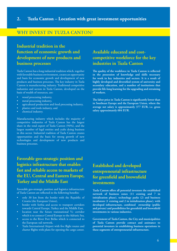### **WHY INVEST IN TUZLA CANTON?**

### **Industrial tradition in the function of economic growth and development of new products and business processes**

Tuzla Canton has a long industrial tradition which, together with favorable business environment, creates an opportunity and basis for economic growth and development of new products and business processes. The key industry in Tuzla Canton is manufacturing industry. Traditional competitive industries and sectors in Tuzla Canton, developed on the basis of wealth of resources, are:

- wood processing industry,
- metal processing industry,
- agricultural production and food processing industry,
- plastics and tools industry, and
- chemical industry.

Manufacturing industry which includes the majority of competitive industries of Tuzla Canton has the largest share in the total export of Tuzla Canton (94%), and the largest number of legal entities and crafts doing business in this sector. Industrial tradition of Tuzla Canton creates opportunities and the basis for strong growth of new technologies and development of new products and business processes.

### **Favorable geo-strategic position and logistics infrastructure that enables fast and reliable access to markets of the EU, Central and Eastern Europe, Turkey and the Middle East**

Favorable geo-strategic position and logistics infrastructure of Tuzla Canton are reflected in the following benefits:

- only 30 km from the border with the Republic of Croatia (the European Union),
- border with Serbia and access to transport corridors towards Central Europe, Turkey and the Middle East,
- • location near the future transnational Vc corridor which is to connect Central Europe to the Adriatic Sea,
- • access to the River Port Brčko which is connected to the European rail network,
- • Tuzla International Airport with five flight routes and charter flights with plans for opening the cargo center.

### **Available educated and costcompetitive workforce for the key industries in Tuzla Canton**

**The quality of the workforce in Tuzla Canton is reflected in the possession of knowledge and skills necessary for work in key industries and sectors. It is a result of highly developed and diversified system of university and secondary education, and a number of institutions that provide life-long learning for the upgrading and retraining of workers.** 

**The labor price in Tuzla Canton is significantly lower than in Southeast Europe and the European Union, where the average net salary is approximately 377 EUR, i.e. gross salary approximately 604 EUR.**

### **Established and developed entrepreneurial infrastructure for greenfield and brownfield investments**

**Tuzla Canton offers all potential investors the established network of business zones (11 existing and 7 in initialization phase), technology parks (2) and business incubators (1 existing and 2 in initialization phase), with developed infrastructure, combined ownership (public and private) and possibilities for greenfield and brownfield investments in various industries.** 

**Government of Tuzla Canton, the City and municipalities of Tuzla Canton provide contact and assistance to potential investors in establishing business operations in these segments of entrepreneurial infrastructure.**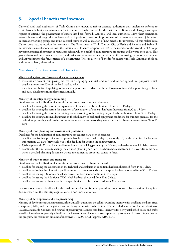### **3. Special benefits for investors**

Cantonal and local authorities of Tuzla Canton are known as reform-oriented authorities that implement reforms to create favorable business environment for investors. In Tuzla Canton, for the first time in Bosnia and Herzegovina, upon request of citizens, the government of experts has been formed. Cantonal and local authorities show their orientation towards investors through the implementation of projects focused on improvement of business environment, joint effort in thematic working groups and multi-sectoral teams as well as creation of new benefits for investors. All this makes Tuzla Canton an attractive location for investment. The Government of Tuzla Canton, City of Tuzla and Živinice and Srebrenik municipalities in collaboration with the International Finance Corporation (IFC), the member of the World Bank Group, have implemented the project of regulatory reform which simplified administrative procedures and lowered their costs. This gave citizens and entrepreneurs a faster and easier access to government services, while improving business environment and approaching to the future trends of e-government. There is a series of benefits for investors in Tuzla Canton at the local and cantonal level, given below.

### **Ministries of the Government of Tuzla Canton**

#### **Ministry of agriculture, forestry and water management**

- • investors are exempt from paying the fees for changing agricultural land into land for non-agricultural purposes (which usually amounts to 20% of the land market value),
- • there is a possibility of applying for financial support in accordance with the Program of financial support in agriculture and rural development, implemented annually.

#### **Ministry of industry, energy and mining**

Deadlines for the finalization of administrative procedures have been shortened:

- • deadline for issuing the permit for exploitation of minerals has been shortened from 30 to 15 days,
- • deadline for issuing the permit for extension of exploitation of minerals has been shortened from 30 to 15 days,
- • deadline for issuing the permit for mining works according to the mining project has been shortened from 30 to 15 days,
- • deadline for issuing a formal document on the fulfillment of technical equipment conditions for business premises for the collection, processing and production of waste materials and secondary raw materials has been shortened from 30 to 15 days.

#### **Ministry of zone planning and environment protection**

Deadlines for the finalization of administrative procedures have been shortened:

- • deadline for issuing permits and approvals has been shortened: 8 days (previously 15) is the deadline for location information, 20 days (previously 30) is the deadline for issuing the zoning permit,
- 15 days (previously 30 days) is the deadline for issuing the building permits by the Ministry or the relevant municipal department,
- deadline for the initiative to change the detailed planning document has been shortened from 5 to 2 years from the date when a detailed planning document whose amendment is proposed, comes to force.

#### **Ministry of trade, tourism and transport**

Deadlines for the finalization of administrative procedures has been shortened:

- deadline for issuing the Document on the technical and exploitation conditions has been shortened from 15 to 7 days,
- deadline for issuing the License for public transport of passengers and cargo transport has been shortened from 30 to 15 days,
- deadline for issuing IDs for motor vehicle drivers has been shortened from 30 to 7 days,
- deadline for issuing the Additional TAXI label has been shortened from 30 to 7 days,
- deadline for issuing the Permit for the transport business has been shortened from 30 to 7 days.

In most cases, shorter deadlines for the finalization of administrative procedures were followed by reduction of required documents. Also, the Ministry acquires certain documents ex officio.

#### **Ministry of development and entrepreneurship**

Ministry of development and entrepreneurship annually announces the call for awarding incentives for small and medium-sized enterprises (SMEs) and crafts registered and are doing business in Tuzla Canton. This call includes incentives for introduction of ISO/IEC standards, CE mark and renewal of previously introduced standards, incentives for newly established SMEs and crafts as well as incentives for partially subsidizing the interest rate on long-term loans approved by commercial banks. Depending on the program, the maximum amount of incentives is 12,000 BAM (approx. 6,100 EUR).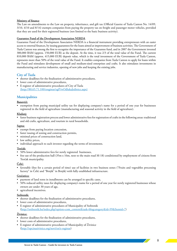#### **Ministry of finance**

The Law on amendments to the Law on property, inheritance, and gift tax (Official Gazette of Tuzla Canton No. 14/09, 3/10, 4/10 and 8/14) exempts companies from paying the property tax on freight and passenger motor vehicles, provided that they are used for their registered business (not limited to the basic business activity).

#### **Guarantee Fund of the Development Association NERDA**

Guarantee Fund of the Development Association NERDA is a financial instrument providing entrepreneurs with an easier access to external finances, by issuing guarantees for the loans aimed at improvement of business activities. The Government of Tuzla Canton was among the first to recognize the importance of the Guarantee fund, and in 2007 the Government invested 300,000 BAM (approx. 150,000 EUR) as the deposit. At the time, it was 2/3 of the total value of the Fund. The current 810,000 BAM (approx. 415,000 EUR) deposit value, which is the total investment of the Government of Tuzla Canton, represents more than 50% of the total value of the Fund. It enables companies from Tuzla Canton to apply for loans within the Fund and stimulates development of small and medium-sized enterprises and crafts. It also stimulates investments in manufacturing and service industries, opening of new jobs and keeping the existing jobs.

#### **City of Tuzla**

- shorter deadlines for the finalization of administrative procedures,
- lower costs of administrative procedures,
- • E-register of administrative procedures of City of Tuzla (http://80.65.71.100/eregistar/egfVwOdlukaJedinice.aspx)

#### **Municipalities**

#### **Banovići:**

exemption from paying municipal utility tax for displaying company's name for a period of one year for businesses registered in the field of agriculture (manufacturing and seasonal activity in the field of agriculture).

#### **Kladanj:**

• faster business registration process and lower administrative fees for registration of crafts in the following areas: traditional and old crafts, agriculture, and tourism in rural households.

#### **Sapna:**

- • exempt from paying location concession,
- faster issuing of zoning and construction permits,
- • minimal prices of construction land,
- low utility prices,
- individual approach to each investor regarding the terms of investments.

#### **Teočak:**

- 50% lower administrative fees for newly registered businesses,
- free use of the production hall (35m x 16m, next to the main road M-18) conditioned by employment of citizens from Teočak municipality.

#### **Čelić:**

favorable (free for a certain period of time) use of facilities in two business zones ("Fruits and vegetables processing factory" in Čelić and "Brnjik" in Brnjik) with fully established infrastructure.

#### **Gračanica:**

- payment of land rents in installments can be arranged in specific cases,
- 50% reduced utility taxes for displaying company's name for a period of one year for newly registered businesses whose owners are under 30 years of age,
- • agricultural incentives.

#### **Srebrenik:**

- • shorter deadlines for the finalization of administrative procedures,
- • lower costs of administrative procedures,
- • E-register of administrative procedures of Municipality of Srebrenik (http://srebrenik.ba/index.php?option=com\_content&task=blogcategory&id=99&Itemid=7)

#### **Živinice:**

- shorter deadlines for the finalization of administrative procedures,
- • lower costs of administrative procedures,
- • E-register of administrative procedures of Municipality of Živinice (http://opcinazivinice.org/novi/en/e-registar)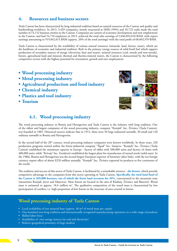### **4. Resources and business sectors**

Tuzla Canton has been characterized by long industrial tradition based on natural resources of the Canton and quality and hardworking workforce. In 2013, 3,429 companies, mostly structured as SMEs (99%) and 10,723 crafts made the total number of 14,152 business entities in the Canton. Companies are carriers of economic development and new employment in the Canton, and had 54,710 employees in 2013, achieved the total sales earnings of 5,046,893,610 BAM, with export earnings amounting to 919,842,013 BAM (approx. 20% of the total earnings) with the total profit of 68,603,559 BAM.

Tuzla Canton is characterized by the availability of various natural resources (minerals, land, forests, water), which are the backbone of economic and industrial tradition. Rich in the primary energy sources of solid fossil fuel which support production of secondary sources of energy (electricity, heat and steam), mineral resources (coal, metals and non-metals), forests, agricultural land and mineral, thermal and thermo-mineral waters, the Canton is characterized by the following competitive sectors with the highest potential for investment, growth and new employment:

- **• Wood processing industry**
- **• Metal processing industry**
- **• Agricultural production and food industry**
- **• Chemical industry**
- **• Plastics and tool industry**
- **• Tourism**



### **4.1. Wood processing industry**

The wood processing industry in Bosnia and Herzegovina and Tuzla Canton is the industry with long tradition. One of the oldest and largest companies of the wood processing industry, company "Konjuh" Inc. Živinice (Tuzla Canton), was founded in 1885. Historical sources indicate that in 1912, there were 30 large industrial sawmills, 30 small and 120 ordinary sawmills in Bosnia and Herzegovina.

In the second half of the 20<sup>th</sup> century, wood processing industry companies were known worldwide. In those years, 220 production programs existed within the forest-industrial company "Šipad" Inc. Sarajevo. "Konjuh" Inc. Živinice (Tuzla Canton) established the maximum capacity in Europe - factory of tables with 500,000 units and factory of chairs with 400,000 units, while "Krivaja" Inc. Zavidovići established the largest plant for manufacture of turned stools (solid seats). In the 1980s, Bosnia and Herzegovina was the second largest European exporter of furniture (after Italy), with the net foreign currency export effect of about \$220 million annually. "Konjuh" Inc. Živinice exported its products to five continents of the world.

The tradition and success of this sector of Tuzla Canton, is facilitated by a remarkable resource - **the forests**, which provide competitive advantage to the companies from this sector operating in Tuzla Canton. **Specifically, the total land fund of the Canton is 269,000 hectares, out of which the forest land accounts for 49%**, concentrated in the mountain zone (mountains Konjuh, Javor and Majevica). Most forests are located in the area of Kladanj, Živinice and Banovići. Wood mass is estimated to approx. 18.6 million m<sup>3</sup>. The qualitative composition of the wood mass is characterized by low participation of conifers, i.e. high proportion of low forests in the structure of area covered in forests.

### **Wood processing industry of Tuzla Canton**

- Local availability of raw material base (approx.  $40 \text{ m}^3$  of wood mass per capita)
- • One-hundred-year-long tradition and internationally recognized manufacturing experience in a wide range of products
- Skilled labor force
- • Availability of own energy sources (in coal and electricity)
- • Relative geografical proximity of large markets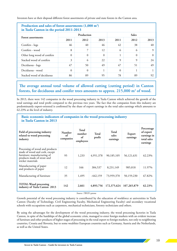Investors have at their disposal different forest assortments of private and state forests in the Canton area.

| Production and sales of forest assortments $(1,000 \text{ m}^3)$<br>in Tuzla Canton in the period 2011-2013 |      |            |          |              |      |      |  |  |
|-------------------------------------------------------------------------------------------------------------|------|------------|----------|--------------|------|------|--|--|
|                                                                                                             |      | Production |          | <b>Sales</b> |      |      |  |  |
| Forest assortments                                                                                          | 2011 | 2012       | 2013     | 2011         | 2012 | 2013 |  |  |
| Conifers - logs                                                                                             | 46   | 40         | 46       | 42.          | 38   |      |  |  |
| Conifers - wood                                                                                             | 8    |            | 12       |              |      |      |  |  |
| Other long wood of conifers                                                                                 |      |            | $\Omega$ |              |      |      |  |  |
| Stacked wood of conifers                                                                                    |      |            | 22       | Q            | Q    | 24   |  |  |
| Deciduous - logs                                                                                            | 47   | 50         | 49       | 47           | 51   |      |  |  |
| Deciduous - wood                                                                                            |      | 0          |          | $\Omega$     |      |      |  |  |
| Stacked wood of deciduous                                                                                   | 86   | 89         | 95       | 78           | 89   |      |  |  |

### **The average annual total volume of allowed cutting (cutting period) in Canton**  forests, for deciduous and conifer trees amounts to approx. 215,000 m<sup>3</sup> of wood.

In 2013, there were 142 companies in the wood processing industry in Tuzla Canton which achieved the growth of the total earnings and total profit compared to the previous two years. The fact that the companies from this industry are predominantly export-oriented is confirmed by the share of export earnings in the total sales earnings which amounts to 62.23% at the level of industry.

| Basic economic indicators of companies in the wood processing industry<br>in Tuzla Canton in 2013                                                 |                           |                                    |                 |                                   |                    |                                                                   |  |
|---------------------------------------------------------------------------------------------------------------------------------------------------|---------------------------|------------------------------------|-----------------|-----------------------------------|--------------------|-------------------------------------------------------------------|--|
| Field of processing industry<br>related to wood processing<br>industry                                                                            | Number<br>of<br>companies | Total<br>number<br>of<br>employees | Total<br>profit | Total<br>sales<br>earnings        | Export<br>earnings | Percentage<br>of export<br>earnings in<br>total sales<br>earnings |  |
| Processing of wood and products<br>made of wood and cork, except<br>furniture; manufacturing of<br>products made of straw and<br>wicker materials | 95                        | 1,233                              | 4,951,378       | 90,185,105                        | 56,121,631         | 62.23%                                                            |  |
| Manufacturing of paper<br>and products of paper                                                                                                   | 12                        | 166                                | 384,537         | 8,231,149                         | 985,018            | 11.97%                                                            |  |
| Manufacturing of furniture                                                                                                                        | 35                        | 1,495                              |                 | $-442,159$ 73,959,370             | 50,159,230         | 67.82%                                                            |  |
| <b>TOTAL-Wood processing</b><br>industry of Tuzla Canton 2013                                                                                     | 142                       | 2,661                              |                 | 4,893,756 172,375,624 107,265,879 |                    | 62.23%                                                            |  |
|                                                                                                                                                   |                           | Source: TRON systems               |                 |                                   |                    |                                                                   |  |

Growth potential of the wood processing industry is contributed by the education of workforce at universities in Tuzla Canton (Faculty of Technology, Civil Engineering Faculty, Mechanical Engineering Faculty) and secondary vocational schools with occupations such as carpenters, mechanical technicians, forestry technicians and others.

By using the advantages for the development of the wood processing industry, the wood processing factories in Tuzla Canton, in spite of the hardships of the global economic crisis, managed to enter foreign markets with an evident increase of furniture and other products of higher stages of processing in the total export to foreign markets, not only to neighboring countries, Croatia and Slovenia, but to some wealthier European countries such as Germany, Austria and the Netherlands, as well as the United States.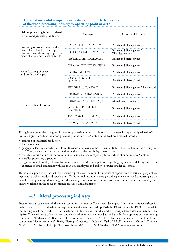| The most successful companies in Tuzla Canton in selected sectors<br>of the wood processing industry by operating profit in 2013 |                                       |                                             |  |  |  |  |
|----------------------------------------------------------------------------------------------------------------------------------|---------------------------------------|---------------------------------------------|--|--|--|--|
| Field of processing industry related<br>to the wood processing industry                                                          | Company                               | Country of Investor                         |  |  |  |  |
| Processing of wood and of products                                                                                               | RADIAL Ltd. GRAČANICA                 | Bosnia and Herzegovina                      |  |  |  |  |
| made of wood and cork, except<br>furniture; manufacturing of products                                                            | ISOWOOD Ltd. GRAČANICA                | Bosnia and Herzegovina /<br>The Netherlands |  |  |  |  |
| made of straw and wicker materials                                                                                               | PEŠTALIĆ Ltd. GRADAČAC                | Bosnia and Herzegovina                      |  |  |  |  |
|                                                                                                                                  | C.P.A. Ltd. TOJŠIĆI-KALESIJA          | Bosnia and Herzegovina                      |  |  |  |  |
| Manufacturing of paper<br>and products of paper                                                                                  | EXTRA Ltd. TUZLA                      | Bosnia and Herzegovina                      |  |  |  |  |
|                                                                                                                                  | KARTONPROM Ltd.<br><b>GRAČANICA</b>   | Bosnia and Herzegovina                      |  |  |  |  |
|                                                                                                                                  | FEN-BH Ltd. LUKAVAC                   | Bosnia and Herzegovina / Switzerland        |  |  |  |  |
|                                                                                                                                  | INGRAT Ltd. GRAČANICA                 | Bosnia and Herzegovina                      |  |  |  |  |
|                                                                                                                                  | PRIMA SOFA Ltd. KALESIJA              | Macedonia / Croatia                         |  |  |  |  |
| Manufacturing of furniture                                                                                                       | <b>IVEREX KOMERC Ltd.</b><br>ŽIVINICE | Bosnia and Herzegovina                      |  |  |  |  |
|                                                                                                                                  | TMN 2007 Ltd. KLADANJ                 | Bosnia and Herzegovina                      |  |  |  |  |
|                                                                                                                                  | IZAZOV Ltd. KALESIJA                  | Bosnia and Herzegovina                      |  |  |  |  |

Taking into account the strengths of the wood processing industry in Bosnia and Herzegovina, specifically related to Tuzla Canton, a growth path of the wood processing industry of the Canton has indeed been created, based on:

- • tradition of industrial production,
- low labor costs,
- geographic location, which allows lower transportation costs to the EU market  $(0.60 1$  EUR / km for the driving unit of 100 m3 ) depending on the destination market and the possibility of return transport,
- • available infrastructure for the sector, domestic raw materials, especially forests which abound in Tuzla Canton,
- installed processing capacities,
- organizational flexibility of manufacturers compared to their competition, regarding payment and delivery, due to the existence of small companies with less than 100 employees and ability to service smaller customers.

This is also supported by the fact that demand aspect leaves the room for increase of exports both in terms of geographical segments as well as product diversification. Tradition, rich economic heritage and experience in wood processing are the basis for strengthening, developing and diversifying this sector with numerous opportunities for investments by new investors, relying on the above mentioned resources and advantages.

### **4.2. Metal processing industry**

First industrial capacities of the metal sector in the area of Tuzla were developed from handicraft workshop for maintenance of coal and salt mine equipment (Mechanic workshop Tuzla in 1936), which in 1959 developed in the mining machinery industry, i.e. machinery industry and foundry and in Transportation devices factory Tuzla (1970). The workshops of mechanical and electrical maintenance served as the basis for development of the following companies: "Rudarinvest" Banovići, "Elektroremont" Banovići, "Helios" Banovići, along with the brand new companies: "Remontmontaža" Tuzla, "Fering" Gračanica, "Izolacija" Tuzla, "Fakol" Lukavac, "Alfe-mi" Živinice, "Elir" Tuzla, "Unistok" Kalesija, "Dalekovodmontaža" Tuzla, TMD Gradačac, TMP Srebrenik and others.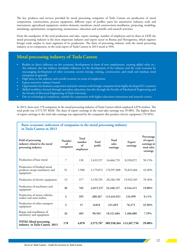The key products and services provided by metal processing companies of Tuzla Canton are production of metal components, constructions, process equipment, different types of profiles, parts for automotive industry, tools and instruments, agricultural equipment, molten elements, metalware, metal constructions installation, projecting, modeling, simulating, optimization, reengineering, maintenance, education and scientific and research activities.

From the standpoint of the total production and sales, export earnings, number of employees and its share in GDP, the metal processing industry is the most important industry and export sector in Bosnia and Herzegovina, which registers foreign trade surplus in most segments of its production. The share of processing industry with the metal processing industry as its component, in the total export of Tuzla Canton in 2013 stood at 94%.

### **Metal processing industry of Tuzla Canton**

- Besides its direct influence on the economic development in form of new employment, creating added value etc., this industry also has indirect (multiple) influence on the development of the industry and the total economy by encouraging development of other economic sectors (energy, mining, construction, and small and medium sized enterprises in general)
- High share in the industry and overall economy in terms of employment
- Export attractive industry branch
- • Opportunities for business cooperation and joint ventures with foreign companies from highly developed EU countries
- Skilled workforce formed through secondary education, but also through the Faculty of Mechanical Engineering and the Faculty of Electrical Engineering of Tuzla University
- • Due to technological complexity, suitable for cooperation with higher-education institutions and research centers

In 2013, there were 178 companies in the metal processing industry of Tuzla Canton which employed 4,070 workers. The total profit was 3,575,707 BAM. The share of export earnings in the total sales earnings was 29.08%. The highest share of export earnings in the total sales earnings was registered by the companies that produce electric equipment (70.56%).

| Basic economic indicators of companies in the metal processing industry<br>in Tuzla Canton in 2013 |                           |                                    |                 |                            |                         |                                                                   |  |
|----------------------------------------------------------------------------------------------------|---------------------------|------------------------------------|-----------------|----------------------------|-------------------------|-------------------------------------------------------------------|--|
| Field of processing<br>industry related to the metal<br>processing industry                        | Number<br>of<br>companies | Total<br>number<br>of<br>employees | Total<br>profit | Total<br>sales<br>earnings | Export<br>earnings      | Percentage<br>of export<br>earnings in<br>total sales<br>earnings |  |
| Production of base metal                                                                           | 7                         | 130                                | 2,433,557       | 16,666,723                 | 8,358,872               | 50.15%                                                            |  |
| Production of finished metal<br>products except machinery and<br>equipment                         | 91                        | 1,968                              | 2,179,874       | 176,997,008                | 76,823,666              | 43.40%                                                            |  |
| Production of electric equipment                                                                   | 13                        | 377                                | 3,150,705       | 28, 248, 198               | 19,933,345              | 70.56%                                                            |  |
| Production of machinery and<br>equipment                                                           | 36                        | 782                                | $-4,015,537$    | 34,448,137                 | 6,544,415               | 19.00%                                                            |  |
| Production of motor vehicles,<br>trailers and semi-trailers                                        | 3                         | 395                                | $-280,267$      | 114,444,921                | 124,999                 | 0.11%                                                             |  |
| Production of other transport<br>equipment                                                         | $\overline{2}$            | 15                                 | 8,810           | 231,693                    | 76,373                  | 32.96%                                                            |  |
| Repair and installation of<br>machinery and equipment                                              | 26                        | 403                                | 98,565          | 18,521,684                 | 1,406,080               | 7.59%                                                             |  |
| <b>TOTAL-Metal processing</b><br>industry in Tuzla Canton 2013                                     | 178                       | 4,070                              | 3,575,707       |                            | 389,558,364 113,267,750 | 29.08%                                                            |  |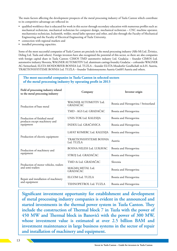The main factors affecting the development prospects of the metal processing industry of Tuzla Canton which contribute to its competitive advantage are reflected in:

- qualified workforce that is educated for work in this sector through secondary education with numerous profiles such as: mechanical technician, mechanical technician for computer design, mechanical technician – CNC machine operator, mechatronics technician, locksmith, welder, metal lathe operator and other, and also through the Faculty of Mechanical Engineering and the Faculty of Electrical Engineering of Tuzla University,
- connection with regional markets and
- installed processing capacities.

Some of the most successful companies of Tuzla Canton are precisely in the metal processing industry (Alfe-Mi Ltd. Živinice, Deling Ltd. Tuzla and others). Foreign investors have also recognized the potential of this sector, so there are also companies with foreign capital share in Tuzla Canton: CIMOS TMD automotive industry Ltd. Gradačac – founder CIMOS Ltd. automotive industry Slovenia, WAGNER AUTOMOTIV Ltd. aluminum castings foundry Gradačac – cofounder WAGNER AG Switzerland, ELSTA MOSDORFER BOSNIA Ltd. TUZLA – founder ELSTA-Mosdorfer Gesellschaft m.b.H. Austria, TRAKTIONSSYSTEME BOSNIA Ltd. TUZLA – founder Traktionssysteme Austria GmbH Austria and others.

| The most successful companies in Tuzla Canton in selected sectors<br>of the metal processing industry by operating profit in 2013 |                                              |                                      |  |  |  |  |
|-----------------------------------------------------------------------------------------------------------------------------------|----------------------------------------------|--------------------------------------|--|--|--|--|
| Field of processing industry related<br>to the metal processing industry                                                          | Company                                      | Investor origin                      |  |  |  |  |
| Production of base metal                                                                                                          | WAGNER AUTOMOTIV Ltd.<br><b>GRADAČAC</b>     | Bosnia and Herzegovina / Switzerland |  |  |  |  |
|                                                                                                                                   | TMD - AGS Ltd. GRADAČAC                      | Bosnia and Herzegovina               |  |  |  |  |
| Production of finished metal<br>products except machinery and                                                                     | UNIS-TOK Ltd. KALESIJA                       | Bosnia and Herzegovina               |  |  |  |  |
| equipment                                                                                                                         | INDEX Ltd. GRAČANICA                         | Bosnia and Herzegovina               |  |  |  |  |
|                                                                                                                                   | LAFAT KOMERC Ltd. KALESIJA                   | Bosnia and Herzegovina               |  |  |  |  |
| Production of electric equipment                                                                                                  | <b>TRAKTIONSSYSTEME BOSNIA</b><br>Ltd. TUZLA | Austria                              |  |  |  |  |
| Production of machinery and                                                                                                       | BOSNA-NILESS Ltd. LUKAVAC                    | Bosnia and Herzegovina               |  |  |  |  |
| equipment                                                                                                                         | STROJ Ltd. GRADAČAC                          | Bosnia and Herzegovina               |  |  |  |  |
| Production of motor vehicles, trailers                                                                                            | TMD Ai Ltd. GRADAČAC                         | Slovenia                             |  |  |  |  |
| and semi-trailers                                                                                                                 | MAGMA METAL Ltd.<br><b>GRADAČAC</b>          | Bosnia and Herzegovina               |  |  |  |  |
| Repair and installation of machinery                                                                                              | ELCOM Ltd. TUZLA                             | Bosnia and Herzegovina               |  |  |  |  |
| and equipment                                                                                                                     | TEHNOPETROL Ltd. TUZLA                       | Bosnia and Herzegovina               |  |  |  |  |

**Significant investment opportunity for establishment and development of metal processing industry companies is evident in the announced and started investments in the thermal power system in Tuzla Canton. They include the construction of Thermal block 7 in Tuzla with the power of 450 MW and Thermal block in Banovići with the power of 300 MW, whose investment value is estimated at over 2.5 billion BAM and investment maintenance in large business systems in the sector of repair and installation of machinery and equipment.**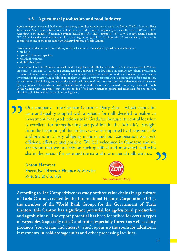### **4.3. Agricultural production and food industry**

Agricultural production and food industry are among the oldest economic activities in the Canton. The first factories, Tuzla Brewery and Spirit Factory Tuzla, were built at the time of the Austro-Hungarian governance (between 1884 and 1886). According to the number of economic entities, including crafts (412), companies (187), as well as agricultural holdings (12,753 family agricultural holdings enrolled in the Register of agricultural holdings, with 23,942 members), this sector is considered as one of the most important industry branches of Tuzla Canton.

Agricultural production and food industry of Tuzla Canton show remarkable growth potential based on:

- • tradition,
- spatial and zoning capacities,
- wealth of resources,
- skilled labor force.

Tuzla Canton has 114,102 hectares of arable land (plough land – 85,807 ha, orchards – 15,329 ha, meadows – 12,960 ha, vineyards - 6 ha) and 11,123 ha of pastures. Land is underused, with low effects in primary agricultural production. Therefore, domestic production is not even close to meet the population needs for food, which opens up room for new investments in this sector. The Faculty of Technology at Tuzla University, together with its departments of food technology, agriculture and chemical engineering, produces highly educated staff ready to encourage further development of the sector by applying gained knowledge and skills. Qualified workforce in this sector is also educated at secondary vocational schools in the Canton with the profiles that suit the needs of food sector activities (agricultural technician, food technician, chemical technician with focus on biotechnology, etc.).

Our company – the German Gourmet Dairy Zott – which stands for taste and quality coupled with a passion for milk decided to realize an investment for a production site in Gradačac, because its central location is excellent for strengthening our position in the Adriatic's. Straight from the beginning of the project, we were supported by the responsible authorities in a very obliging manner and our cooperation was very efficient, effective and positive. We feel welcomed in Gradačac and we are proud that we can rely on such qualified and motivated staff who shares the passion for taste and the natural raw material milk with us. " "<br>"<br>-

### **Anton Hammer**

**Executive Director Finance & Service Zott SE & Co. KG**



**According to The Competitiveness study of three value chains in agriculture of Tuzla Canton, created by the International Finance Corporation (IFC), the member of the World Bank Group, for the Government of Tuzla Canton, this Canton has significant potential for agricultural production and agrobusiness. The export potential has been identified for certain types of vegetables (especially dried) and fruits (especially frozen) as well as dairy products (sour cream and cheese), which opens up the room for additional investments in cold-storage units and other processing facilities.**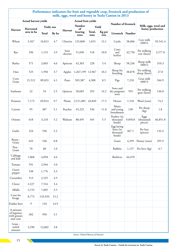| Performance indicators for fruit and vegetable crop, livestock and production of<br>milk, eggs, wool and honey in Tuzla Canton in 2013 |                         |            |       |                  |                     |               |              |                                              |         |                               |          |
|----------------------------------------------------------------------------------------------------------------------------------------|-------------------------|------------|-------|------------------|---------------------|---------------|--------------|----------------------------------------------|---------|-------------------------------|----------|
| Actual harvest yields                                                                                                                  |                         |            |       |                  | Actual fruit yields |               |              |                                              |         |                               |          |
|                                                                                                                                        |                         | Yield, ton |       |                  | Number<br>of        |               | Yield        | Number of livestock                          |         | Milk, eggs, wool and          |          |
| Harvest                                                                                                                                | Harvested<br>area in ha | Total      | By ha | Harvest          | bearing             | Total,        | Kg per       | Livestock Number                             |         | honey production              |          |
| Wheat                                                                                                                                  | 3,567                   | 16,813     | 4.7   | Cherries         | trees<br>125,868    | tons<br>1,653 | tree<br>13.1 | Cattle                                       | 58,606  | Cow milk<br>(0001)            | 93,541.4 |
| Rye                                                                                                                                    | 296                     | 1,153      | 3.9   | Sour<br>cherries | 51,696              | 518           | 10.0         | Cows<br>and<br>heifers                       | 42,750  | Per milking<br>cow (liters)   | 2,577.0  |
| Barley                                                                                                                                 | 571                     | 2,603      | 4.6   | Apricots         | 42,303              | 228           | 5.4          | Sheep                                        | 58,236  | Sheep milk<br>(0001)          | 310.3    |
| Oats                                                                                                                                   | 525                     | 1,958      | 3.7   | Apples           | 1,267,199           | 12,967        | 10.2         | Sheep for<br>breeding                        | 38,878  | Per milking<br>sheep (liters) | 27.0     |
| Corn<br>Grain                                                                                                                          | 21,512                  | 89,033     | 4.1   | Pears            | 505,387             | 4,308         | 8.5          | Pigs                                         | 7,218   | Goat milk<br>(0001)           | 344.9    |
| Soybeans                                                                                                                               | 22                      | 54         | 2.5   | Quinces          | 20,685              | 293           | 14.2         | Sows and<br>dry pregnant<br>sows             | 593     | Per milking<br>goat (liters)  | 136.0    |
| Potatoes                                                                                                                               | 7,173                   | 69,814     | 9.7   | Plums            | 2,511,881 43,849    |               | 17.5         | Horses                                       | 1,518   | Wool (tons)                   | 74.2     |
| Carrots                                                                                                                                | 95                      | 487        | 5.1   | Peaches          | 45,225              | 536           | 11.8         | Mares<br>and young<br>broodmares             | 138     | Per sheep<br>(kg)             | 1.8      |
| Onions                                                                                                                                 | 618                     | 3,218      | 5.2   | Walnuts          | 80,495              | 445           | 5.5          | Poultry (in<br>thousand<br>heads)            | 9,050.8 | Eggs<br>(thousands<br>pieces) | 66,851.8 |
| Garlic                                                                                                                                 | 224                     | 536        | 5.2   |                  |                     |               |              | Egg laying<br>hens (in<br>thousand<br>heads) | 467.1   | Per hen<br>(pieces)           | 132.4    |
| Beans -<br>Grain                                                                                                                       | 635                     | 536        | 0.8   |                  |                     |               |              | Goats                                        | 4,299   | Honey (tons)                  | 295.9    |
| Peas -<br>Grain                                                                                                                        | 70                      | 68         | 1.0   |                  |                     |               |              | Rabbits                                      | 1,137   | Per hive (kg)                 | 6.7      |
| Cabbage<br>and kale                                                                                                                    | 1,068                   | 4,858      | 4.6   |                  |                     |               |              | Beehives                                     | 44,470  |                               |          |
| Tomato                                                                                                                                 | 591                     | 2,944      | 5.0   |                  |                     |               |              |                                              |         |                               |          |
| Green<br>pepper                                                                                                                        | 538                     | 1,776      | 3.3   |                  |                     |               |              |                                              |         |                               |          |
| Cucumber                                                                                                                               | 513                     | 2,525      | 4.9   |                  |                     |               |              |                                              |         |                               |          |
| Clover                                                                                                                                 | 2,227                   | 7,516      | 3.4   |                  |                     |               |              |                                              |         |                               |          |
| Alfalfa                                                                                                                                | 2,153                   | 7,605      | 3.5   |                  |                     |               |              |                                              |         |                               |          |
| Corn for<br>forage                                                                                                                     | 8,773                   | 133,593    | 15.2  |                  |                     |               |              |                                              |         |                               |          |
| Fodder beet                                                                                                                            | $\overline{9}$          | 134        | 14.9  |                  |                     |               |              |                                              |         |                               |          |
| A mixture<br>of legumes<br>with grasses<br>and corn                                                                                    | 302                     | 950        | 3.1   |                  |                     |               |              |                                              |         |                               |          |
| Grass -<br>trefoil<br>mixture                                                                                                          | 3,290                   | 12,602     | 3.8   |                  |                     |               |              |                                              |         |                               |          |

*Source: Federal Bureau of Statistics*

15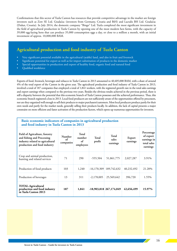Confirmations that this sector of Tuzla Canton has resources that provide competitive advantage in the market are foreign investors such as Zott SE Ltd. Gradačac (investors from Germany, Croatia and BiH) and Lactalis BH Ltd. Gradačac (Dukat, Croatia). In July 2014, the domestic company "Bingo" Ltd. Tuzla completed the most significant investment in the field of agricultural production in Tuzla Canton by opening one of the most modern hen farms, with the capacity of 39,000 egg-laying hens that can produce 35,000 consumption eggs a day, or close to a million a month, with an initial investment of approx. 10,000,000 BAM.

### **Agricultural production and food industry of Tuzla Canton**

- Very significant potential available in the agricultural (arable) land, and also in fruit and livestock
- Significant potential for export as well as for import substitution of products in the domestic market
- Special opportunities in production and export of healthy food, organic food and natural food
- Qualified workforce

Exports of food, livestock, beverages and tobacco in Tuzla Canton in 2013 amounted to 40,405,000 BAM, with a share of around 4% of the total export of the Canton in the given year. The agricultural production and food industry of Tuzla Canton in 2013, involved a total of 187 companies that employed a total of 1,841 workers, with the registered growth rate in the total sales earnings and export earnings when compared to the previous two years. Besides the obvious results achieved in the previous period, there is still a disparity between the potential that this economic branch of Tuzla Canton possesses and the achieved performance. Thus, this economic branch registered a loss in 2013. Local food producers are not sufficiently aware of the opportunities offered by processors, nor are they organized well enough to sell their products to major purchasers/customers. Most local producers produce partly for their own needs and partly for the market needs, generally selling their products locally. In addition, the lack of capital presents a major constraint on more efficient and faster activation of the production factors, which opens up numerous opportunities for investors.

| Basic economic indicators of companies in agricultural production<br>and food industry in Tuzla Canton in 2013                   |                           |                                    |                 |                                      |                    |                                                                   |  |
|----------------------------------------------------------------------------------------------------------------------------------|---------------------------|------------------------------------|-----------------|--------------------------------------|--------------------|-------------------------------------------------------------------|--|
| Field of Agriculture, forestry<br>and fishing and Processing<br>industry related to agricultural<br>production and food industry | Number<br>of<br>companies | Total<br>number<br>of<br>employees | Total<br>profit | Total<br>sales<br>earnings           | Export<br>earnings | Percentage<br>of export<br>earnings in<br>total sales<br>earnings |  |
| Crop and animal production,<br>hunting and related services                                                                      | 71                        | 290                                | $-555,504$      | 51,861,775                           | 2,027,287          | 3.91%                                                             |  |
| Production of food products                                                                                                      | 103                       | 1,240                              |                 | $-16,170,309$ 189,742,632 40,232,492 |                    | 21.20%                                                            |  |
| Production of beverages                                                                                                          | 13                        | 311                                |                 | $-2,178,005$ 25,569,642              | 396,720            | 1.55%                                                             |  |
| <b>TOTAL-Agricultural</b><br>production and food industry<br>in Tuzla Canton 2013                                                | 187                       | 1,841                              |                 | $-18,903,818$ 267,174,049 42,656,499 |                    | 15.97%                                                            |  |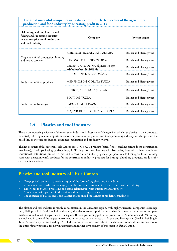| The most successful companies in Tuzla Canton in selected sectors of the agricultural<br>production and food industry by operating profit in 2013 |                                                               |                        |  |  |  |  |
|---------------------------------------------------------------------------------------------------------------------------------------------------|---------------------------------------------------------------|------------------------|--|--|--|--|
| Field of Agriculture, forestry and<br>fishing and Processing industry<br>related to agricultural production<br>and food industry                  | Company                                                       | Investor origin        |  |  |  |  |
|                                                                                                                                                   | KORNIŠON BOSNIA Ltd. KALESIJA                                 | Bosnia and Herzegovina |  |  |  |  |
| Crop and animal production, hunting<br>and related services                                                                                       | LANDGOLD Ltd. GRAČANICA                                       | Bosnia and Herzegovina |  |  |  |  |
|                                                                                                                                                   | LEDENIČKA DOLINA (farmers' co-op)<br>GRADAČAC (business unit) | Bosnia and Herzegovina |  |  |  |  |
|                                                                                                                                                   | EUROTRANS Ltd. GRADAČAC                                       | Bosnia and Herzegovina |  |  |  |  |
| Production of food products                                                                                                                       | MENPROM Ltd. GORNJA TUZLA                                     | Bosnia and Herzegovina |  |  |  |  |
|                                                                                                                                                   | REBRONJA Ltd. DOBOJ ISTOK                                     | Bosnia and Herzegovina |  |  |  |  |
|                                                                                                                                                   | <b>BONY Ltd. TUZLA</b>                                        | Bosnia and Herzegovina |  |  |  |  |
| Production of beverages                                                                                                                           | PAPAGO Ltd. LUKAVAC                                           | Bosnia and Herzegovina |  |  |  |  |
|                                                                                                                                                   | MAJEVIČKI STUDENAC Ltd. TUZLA                                 | Bosnia and Herzegovina |  |  |  |  |

### **4.4. Plastics and tool industry**

There is an increasing evidence of the consumer industries in Bosnia and Herzegovina, which use plastics in their products, potentially offering market opportunities for companies in the plastics and tools processing industry, which opens up the possibility to increase production, equipment utilization and productivity level.

The key products of this sector in Tuzla Canton are: PVC + ALU products (gates, fences, stacking garage doors, construction metalware), plastic packaging (garbage bags, LDPE bags for deep freezing with bar codes, bags with a hard handle for educational institutions, protective foil for the construction industry, general purpose foil, foil for agriculture, warning tapes with detection wire), products for the construction industry, products for heating, plumbing products, products for electrical installations.

### **Plastics and tool industry of Tuzla Canton**

- Geographical location in the wider region of the former Yugoslavia and its tradition
- Companies from Tuzla Canton engaged in this sector are prominent reference centers of the industry
- Experience in plastics processing and stable relationships with customers and suppliers
- Cooperation with partners in the region and free trade agreements
- The existence of Plastics and Tools Cluster that founded the Center of modern technologies

The plastics and tool industry is mostly concentrated in the Gračanica region, with highly successful companies (Plamingo Ltd., Helioplast Ltd., Variplast Ltd. and others) that demonstrate a positive trend when it comes to the access to European markets, as well as with the partners in the region. The companies engaged in the production of Aluminium and PVC joinery are included in some of the largest investments in the construction industry in Bosnia and Herzegovina (Mellain building in Tuzla, Sarajevo City Center building - Al Shiddi Group investment and other). The above mentioned details are evidence of the extraordinary potential for new investments and further development of this sector in Tuzla Canton.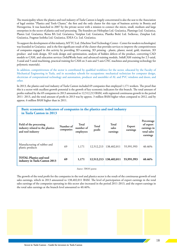The municipality where the plastics and tool industry of Tuzla Canton is largely concentrated is also the seat to the Association of legal entities "Plastics and Tools Cluster," the first and the only cluster for this type of business activity in Bosnia and Herzegovina. It was launched in 2007 by the private sector with a mission to connect the micro, small, medium and large enterprises in the sector of plastics and tool processing. The founders are Helioplast Ltd. Gračanica, Plamingo Ltd. Gračanica, Plastex Ltd. Gračanica, Bema BA Ltd. Gračanica, Variplast Ltd. Gračanica, Plastika Božić Ltd. Sočkovac, Zimplast Ltd. Gračanica, Fragmat Izolirka Ltd. Gračanica, IDEA Co. Ltd. Gračanica.

To support the development of this industry, MTTC Ltd. (Machine Tool Technology Center - Center for modern technologies) was founded in Gračanica and is the first significant result of the cluster that provides services to improve the competitiveness of companies engaged in this activity by providing 3D scanning, 3D printing - plastic, plaster, metal, gold, titanium, 3D product and tools design, 3D tools design and optimization, analysis of hidden defects of the product, converting CAD models to CAM, and education services (SolidWorks basic and advanced training module, SolidCAM training for 2.5-axial, 3-axial and 5-axial machining, practical training for CAM on 3-axis and 5-axis CNC machines and processing technology for polymeric materials).

In addition, competitiveness of the sector is contributed by qualified workforce for the sector, educated by the Faculty of Mechanical Engineering in Tuzla, and in secondary schools for occupations: mechanical technician for computer design, electrician of computational technology and automation, producer and assembler of AL and PVC windows and doors, and other.

In 2013, the plastics and tool industry of Tuzla Canton included 69 companies that employed 1,171 workers. The proof that this is a sector with excellent growth potential is the growth of key economic indicators for this branch. The total amount of profits realized by the 69 companies in 2013 amounted to 12,512,213 BAM, with registered continuous growth in the period 2011- 2013, and the total amount of profit in 2013 was by approx. 3 million BAM higher when compared to 2012, and by approx. 6 million BAM higher than in 2011.

| Basic economic indicators of companies in the plastics and tool industry<br>in Tuzla Canton in 2013 |                        |                                 |                 |                                                 |                    |                                                                   |
|-----------------------------------------------------------------------------------------------------|------------------------|---------------------------------|-----------------|-------------------------------------------------|--------------------|-------------------------------------------------------------------|
| Field of the processing<br>industry related to the plastics<br>and tool industry                    | Number of<br>companies | Total<br>number of<br>employees | Total<br>profit | Total<br>sales<br>earnings                      | Export<br>earnings | Percentage<br>of export<br>earnings in<br>total sales<br>earnings |
| Manufacturing of rubber and<br>plastic products                                                     | 69                     |                                 |                 | $1,171$ $12,512,213$ $138,402,011$ $55,991,993$ |                    | 40.46%                                                            |
| <b>TOTAL-Plastics and tool</b><br>industry in Tuzla Canton 2013                                     | 69                     | 1,171                           |                 | $12,512,213$ 138,402,011 55,991,993             |                    | 40.46%                                                            |

*Source: TRON systems*

The growth of the total profit for the companies in the tool and plastics sector is the result of the continuous growth of total sales earnings, which in 2013 amounted to 138,402,011 BAM. The level of participation of export earnings in the total sales earnings of the companies operating in this sector also increased in the period 2011-2013, and the export earnings in the total sales earnings at the branch level amounted to 40.46%.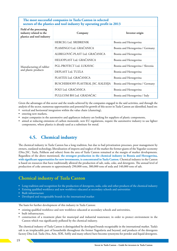### **The most successful companies in Tuzla Canton in selected sectors of the plastics and tool industry by operating profit in 2013 Field of the processing industry related to the plastics and tool industry Company Investor origin** Manufacturing of rubber and plastic products HERCEG Ltd. SREBRENIK Bosnia and Herzegovina PLAMINGO Ltd. GRAČANICA Bosnia and Herzegovina / Germany ALIBEGOVIĆ-PLAST Ltd. GRAČANICA Bosnia and Herzegovina HELIOPLAST Ltd. GRAČANICA Bosnia and Herzegovina PGL-PROTECT Ltd. LUKAVAC Bosnia and Herzegovina / Slovenia DEPLAST Ltd. TUZLA Bosnia and Herzegovina PLASTEX Ltd. GRAČANICA Bosnia and Herzegovina BUSCHERHOFF-PLASTIKAL JSC. KALESIJA | Bosnia and Herzegovina / Germany POLY Ltd. GRAČANICA Bosnia and Herzegovina PULLCOM BH Ltd. GRADAČAC Bosnia and Herzegovina / Italy

Given the advantages of this sector and the results achieved by the companies engaged in the said activities, and through the analysis of the sector, numerous opportunities and potential for growth of this sector in Tuzla Canton are identified, based on:

- vertical and horizontal integration within the value chain (clustering),
- entering new markets,
- • major companies in the automotive and appliances industry are looking for suppliers of plastic components,
- • aimed at reducing emissions of carbon monoxide, new EU regulations, require the automotive industry to use lighter components, where plastics is already used as a substitute for metal.

### **4.5. Chemical industry**

The chemical industry in Tuzla Canton has a long tradition, but due to bad privatization processes, poor management by owners, outdated technology, liberalization of imports and neglect of the market the former giants of the Yugoslav economy (Dita JSC. Tuzla, Polihem and others) from the area of Tuzla Canton remained at the margin of market developments. Regardless of the above mentioned, **the strongest production in the chemical industry in Bosnia and Herzegovina, with significant opportunities for new investments, is concentrated in Tuzla Canton.** Chemical industry in the Canton is based on resources that have traditionally allowed the production of salt, soda, coke, and detergents. The annual level of production of coke amounts to approximately 290,000 tons, 380,000 tons of soda and 140,000 tons of salt.

### **Chemical industry of Tuzla Canton**

- • Long tradition and recognition for the production of detergents, soda, coke and other products of the chemical industry
- • Existing qualified workforce and new workforce educated at secondary schools and universities
- • Built infrastructure
- • Developed and recognizable brands in the international market

The basis for further development of this industry in Tuzla Canton:

- • existing qualified workforce and new workforce educated at secondary schools and universities,
- built infrastructure.
- • construction of a treatment plant for municipal and industrial wastewater, in order to protect environment in the Canton which was significantly polluted by the chemical industry.

The chemical industry of Tuzla Canton is distinguished by developed brands recognizable in the international market. Tuzla's salt is an irreplaceable part of households throughout the former Yugoslavia and beyond, and products of the detergents factory Dita Ltd. Tuzla (Ava, Arix, 3DE, Softly and many others) have become synonyms for powder and liquid detergents.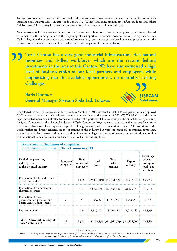Foreign investors have recognized the potential of this industry with significant investments in the production of soda (Sisecam Soda Lukavac Ltd. - Investor Soda Sanayii A.S. Turkey) and coke, ammonium sulfate, crude tar and others (Global Ispat Coke Industry Ltd. Lukavac, investor Global Infrastructure Holdings Ltd. UK).

New investments in the chemical industry of the Canton contribute to its further development, and one of planned investments in the coming period is the beginning of an important investment cycle in the salt factory Solana JSC. Tuzla. It began by the reconstruction of the transformer station, construction of shelf warehouse, and preparations for the construction of a modern bulk warehouse, which will ultimately result in a new salt factory.

**Tuzla Canton has a very good industrial infrastructure, rich natural resources and skilled workforce, which are the reasons behind investments in the area of this Canton. We have also witnessed a high level of business ethics of our local partners and employees, while emphasizing that the available opportunities do neutralize existing challenges.** "

### **Baris Donmez General Manager Sisecam Soda Ltd. Lukavac**

The selected sectors of the chemical industry in Tuzla Canton in 2013, involved a total of 19 companies, which employed 2,391 workers. These companies achieved the total sales earnings in the amount of 391,367,779 BAM. That this is an export-oriented industry is indicated by data on the share of exports in total sales earnings at the branch level, representing 79.85%. Companies in the chemical industry of Tuzla Canton, in 2013, operated at a loss at the industry level, since it is known that most of the capacities depend on foreign markets, where competition is fierce. All disruptions in the world market are directly reflected on the operations of the industry, but with the previously mentioned advantages, supporting activities of restructuring, introduction of new technologies, expansion of markets and certification according to international standards, profit would soon be realized at the industry level. SISE<br>
Soda L<br>
Soda L<br>
Soda L<br>
M. That this

#### **Basic economic indicators of companies in the chemical industry in Tuzla Canton in 2013**

| Field of the processing<br>industry related<br>to the chemical industry          | Number of<br>companies      | Total<br>number of<br>employees | Total<br>profit | Total<br>sales<br>earnings            | Export<br>earnings                                | Percentage<br>of export<br>earnings in<br>total sales<br>earnings |
|----------------------------------------------------------------------------------|-----------------------------|---------------------------------|-----------------|---------------------------------------|---------------------------------------------------|-------------------------------------------------------------------|
| Production of coke and refined<br>petroleum products                             | 3                           |                                 |                 |                                       | $1,026$ $-24,063,040$ $195,351,827$ $165,507,818$ | 84.72%                                                            |
| Production of chemicals and<br>chemical products                                 | 13                          | 862                             |                 |                                       | $13,346,895$ 161,636,184 128,845,527              | 79.71%                                                            |
| Production of basic<br>pharmaceutical products and<br>pharmaceutical supplements | $\mathcal{D}_{\mathcal{L}}$ | 85                              | 723,787         | 6,151,656                             | 134,005                                           | 2.18%                                                             |
| Extraction of salt *                                                             | 1                           | 418                             |                 | $1,813,802$ $28,228,112$ $18,017,650$ |                                                   | 63.83%                                                            |
| <b>TOTAL-Chemical industry of</b><br>Tuzla Canton 2013                           | 19                          | 2,391                           |                 |                                       | $-8,178,556 \in 391,367,779 \in 312,505,000$      | 79.85%                                                            |

*Source: TRON systems* 

*\* Solana JSC. Tuzla represents one of the most important carriers of the chemical industry of Tuzla Canton, but by the code of business activity it is classified in extraction of salt, which is why this branch is included in the overview of the chemical industry.*

**Soda Lukavac**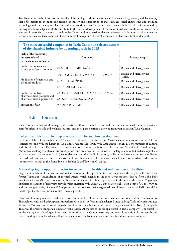Two faculties at Tuzla University, the Faculty of Technology with its departments of Chemical Engineering and Technology that offer majors in chemical engineering, chemistry and engineering of materials, ecological engineering and chemical technology and the Faculty of Pharmacy, educate workforce that find jobs in the chemical industry of the Canton and by the acquired knowledge and skills contribute to the further development of the sector. Qualified workforce in this sector is educated in secondary vocational schools in the Canton and in professions that suit the needs of this industry (pharmaceutical technician, chemical technician with focus on biotechnology and chemical technician in pharmaceutical production).

### **The most successful companies in Tuzla Canton in selected sectors of the chemical industry by operating profit in 2013**

| Field of the processing<br>industry related<br>to the chemical industry | Company                              | Investor origin                    |
|-------------------------------------------------------------------------|--------------------------------------|------------------------------------|
| Production of coke and<br>refined petroleum products                    | HEMPRO Ltd. GRADAČAC                 | Bosnia and Herzegovina             |
| Production of chemicals and<br>chemical products                        | SISECAM SODA LUKAVAC - Ltd. LUKAVAC. | Bosnia and Herzegovina /<br>Turkey |
|                                                                         | <b>BEAT BH Ltd. ŽIVINICE</b>         | Bosnia and Herzegovina             |
|                                                                         | BAUKLAR Ltd. Lukavac                 | Bosnia and Herzegovina             |
| Production of basic                                                     | ZADA PHARMACEUTICALS Ltd. LUKAVAC    | Bosnia and Herzegovina             |
| pharmaceutical products and<br>pharmaceutical supplements               | CYDONIA Ltd.GRAČANICA                | Bosnia and Herzegovina             |
| Extraction of salt                                                      | SOLANA JSC. Tuzla                    | Bosnia and Herzegovina             |

### **4.6. Tourism**

Rich cultural and historical heritage is the basis for offers in the field of cultural tourism, and mineral resources provide a basis for offers in health and wellness tourism, and their participation is growing from year to year in Tuzla Canton.

### **Cultural and historical heritage – opportunity for tourism development**

In the area of Tuzla Canton there are 687 registered units of heritage, including 39 national monuments, such as the Colorful (Šarena) mosque with the harem in Tuzla and Gradačac Old Town with Gradaščević Tower, 271 monuments of cultural and historical heritage, 139 architectural monuments, 87 units of ethnological heritage and 97 units of natural heritage. Monuments belong to different historical periods and are open for tourist visits. The largest and oldest archaeological site is a narrow area of the city of Tuzla (lake settlement from the Neolithic period), while in the historical and social milieu of the medieval Bosnian state the characteristic cultural phenomenon of Bosnia was created, which is spread on Tuzla Canton - tombstones, as well as the Stone Town in Srebrenik and Tower in Gradačac.

### **Mineral springs – opportunities for investment into health and wellness tourism facilities**

Larger accumulation of thermal-mineral waters is found in the Spreča faults, which represents the largest fault zone in the former Yugoslavia. Accumulation of thermal waters, which extends in the zone along the river Spreča, from Suho Polje over Gračanica to Miričina, is one of the larger accumulations for these types of spas in the area of the former Yugoslavia. Exploitation capacity of reservoirs provide water diversion with at least 20 exploitation wells, with depth of 30 to 1,000 m, with an average capacity of about 100 m<sup>3</sup> per second per borehole. So far, registered sites of thermal water are: Ilidža - Gradačac (health spa, bath), Tuzla and Gračanica (thermal pools).

Usage and healing properties of salt water from Tuzla has been known for more than ten centuries, and the first analysis of Tuzla salt water for medical purposes was performed in 1887, by Vienna balneologist Ernest Ludwig. Tuzla salt water was used during the Ottoman and Austro-Hungarian empires, and there is a record that one of the patients of Slana Banja (Salt Spa) in Tuzla was the Austro-Hungarian Emperor Franz Joseph. At the site of the old spa Bristol in Tuzla, company "Uni Bristol" is implementing one of the largest investments in tourism in the Canton, restoring centuries-old tradition of treatment by salt water, building a complex which will include a clinic with baths, modern spa and health and recreational complex.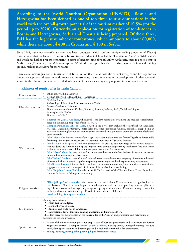**According to the World Tourism Organization (UNWTO), Bosnia and Herzegovina has been defined as one of top three tourist destinations in the world with the overall growth potential of the tourism market of 10.5% (for the period up to 2020). Currently, an application for registration of tombstones in Bosnia and Herzegovina, Serbia and Croatia is being prepared. Of these three, BiH has the highest number of tombstones, which amounts to about 60,000, while there are about 4,400 in Croatia and 4,100 in Serbia.**

Since 1968, numerous scientific analyses have been conducted, which confirm multiple healing properties of Kladanj mineral water that the famous 17<sup>th</sup> century Turkish traveler Evliya Çelebi called the "Fountain of Youth" or "Male water", and which has healing properties primarily in terms of strengthening physical ability. At this site, there is a hotel complex Muška voda (Male water) and Male water spring. Within the hotel premises there is a dam, sports stadium and training ground, making it attractive for sports teams.

There are numerous qualities of tourist offer of Tuzla Canton that would, with the current strengths and heritage and an innovative approach adjusted to world trends and investments, create a momentum for development of other economic sectors in the Canton, but also the overall development of the area, creating many opportunities for new investors.

|                    | Richness of tourist offer in Tuzla Canton                                                                                                                                                                                                                                                                                                                                                                                                                                                                                                                                                                                                                                                                                                                                                                                                                                                                                                                                                                                                                                                                                                                                                                                                                                                                                                                                                                                                                                                                                                                                                                                                                                                                                                                                                                                                   |
|--------------------|---------------------------------------------------------------------------------------------------------------------------------------------------------------------------------------------------------------------------------------------------------------------------------------------------------------------------------------------------------------------------------------------------------------------------------------------------------------------------------------------------------------------------------------------------------------------------------------------------------------------------------------------------------------------------------------------------------------------------------------------------------------------------------------------------------------------------------------------------------------------------------------------------------------------------------------------------------------------------------------------------------------------------------------------------------------------------------------------------------------------------------------------------------------------------------------------------------------------------------------------------------------------------------------------------------------------------------------------------------------------------------------------------------------------------------------------------------------------------------------------------------------------------------------------------------------------------------------------------------------------------------------------------------------------------------------------------------------------------------------------------------------------------------------------------------------------------------------------|
| Ethno - tourism    | Ethno courtyard in Mačkovac<br>$\bullet$<br>Bosnian courtyard "Mala Lohinja" - Gračanica                                                                                                                                                                                                                                                                                                                                                                                                                                                                                                                                                                                                                                                                                                                                                                                                                                                                                                                                                                                                                                                                                                                                                                                                                                                                                                                                                                                                                                                                                                                                                                                                                                                                                                                                                    |
| Historical tourism | Gradačac fortress<br>$\bullet$<br>Archaeological Park of neolithic settlement in Tuzla<br>Fortress Gradina in Srebrenik<br>Tombstone necropolises in Kladanj, Banovići, Živinice, Kalesija, Tuzla, Teočak and Sapna<br>$\bullet$<br>Stone spheres in Teočak<br>Tourist train "Ciro"                                                                                                                                                                                                                                                                                                                                                                                                                                                                                                                                                                                                                                                                                                                                                                                                                                                                                                                                                                                                                                                                                                                                                                                                                                                                                                                                                                                                                                                                                                                                                         |
| Water tourism      | Thermal spa "Ilidža" Gradačac, which applies modern methods of treatment and medical rehabilitation,<br>based on the healing properties of mineral water.<br>• Complex Pannonian Lakes in Tuzla, located in the city center, includes three artificial salt lakes, salty<br>waterfalls, Neolithic settlement, sports fields and other supporting facilities. Salt lakes, except being an<br>attractive swimming location for many visitors, have medicinal properties due to the content of salts and<br>other minerals.<br>• Lake "Modrac" in Lukavac is one of the largest water accumulations in the former Yugoslavia. It is suitable<br>for fishing, and is used to ensure process water for industries in Tuzla and Lukavac.<br>Paradise Lake in Bašigovci (Zivinice municipality) - In order to take advantage of this natural resource,<br>local residents and Živinice Municipality implemented activities on preparing the shores of the lake, which<br>is abundant in fish potential, but it is also a great destination for swimmers.<br>Lake "Hazna" Gradačac, area of 1 km <sup>2</sup> , with prepared beaches and other facilities for rest and recreation<br>٠<br>in natural environment and clean water.<br>Lake "Vidara" Gradačac - area of 7 km <sup>2</sup> , artificial water accumulation with a capacity of over one million m <sup>3</sup><br>of water, which is an area for significant sporting events organized by the sport fishing associations.<br>Lake Bistarac Lukavac is known for its cleanliness, modern swimming areas, large campsite, sports facilities,<br>large parking area, and landscaped picnic areas. It is suitable for sports fishing.<br>Lake "Sniježnica" near Teočak made in the 1970s for needs of the Thermal Power Plant Ugljevik - a<br>paradise for lovers of fishing and swimming. |
| Religious tourism  | "Djevojačka pećina" (cave) Kladanj - entrance to the cave is about 30 meters above the right bank of the<br>river Bukovica. One of the most important pilgrimage sites which attracts up to fifty thousand pilgrims a<br>day. The cave contains drawings - engravings, occupying an area of about 15 meters in length that point<br>to the epoch of the early Stone Age - Paleolithic, older than 10,000 years.<br>Sacral buildings (mosques, churches)                                                                                                                                                                                                                                                                                                                                                                                                                                                                                                                                                                                                                                                                                                                                                                                                                                                                                                                                                                                                                                                                                                                                                                                                                                                                                                                                                                                     |
| Fair tourism       | Among major fairs are:<br>Plum Fair in Gradačac,<br>Days of berries in Čelić,<br>$\bullet$<br>Business and trade fair in Gračanica,<br>$\bullet$<br>International fair of tourism, hunting and fishing in Lukavac "LIST".<br>These fairs serve for the presentation the tourist offer of the Canton and promotion and networking of<br>business entities and investors.                                                                                                                                                                                                                                                                                                                                                                                                                                                                                                                                                                                                                                                                                                                                                                                                                                                                                                                                                                                                                                                                                                                                                                                                                                                                                                                                                                                                                                                                     |
| Sports tourism     | As one of the most common places for preparation of Bosnian sports teams and teams from the former<br>Yugoslav countries, is a complex Muška Voda (Male Water) Kladanj, which, among other things, includes<br>hotel, dam, sports stadium and training ground, which makes it suitable for sports teams.<br>• Hiking, hunting, fishing, biking, caving, hippodrome/racecourses                                                                                                                                                                                                                                                                                                                                                                                                                                                                                                                                                                                                                                                                                                                                                                                                                                                                                                                                                                                                                                                                                                                                                                                                                                                                                                                                                                                                                                                              |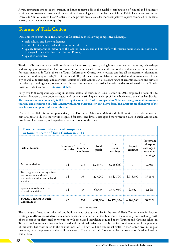A very important option in the creation of health tourism offer is the available combination of clinical and healthcare services - cardiovascular surgery and intervention, dermatological and similar, in which the Public Healthcare Institution University-Clinical Center, Heart Center BiH and private practices are far more competitive in price compared to the same abroad, with the same level of quality.

### **Tourism of Tuzla Canton**

Development of tourism in Tuzla canton is facilitated by the following competitive advantages:

- rich cultural and historical heritage,
- available mineral, thermal and thermo-mineral waters,
- quality transportation network of the Canton by road, rail and air traffic with various destinations in Bosnia and Herzegovina, neighboring countries and Europe,
- qualified workforce.

Tourism in Tuzla Canton has predispositions to achieve a strong growth, taking into account natural resources, rich heritage and history, good geographical location, great cuisine at reasonable prices and the status of an unknown tourist destination for major markets. In Tuzla, there is a Tourist Information Centre, where tourists can find all the necessary information about tours of the city of Tuzla, Tuzla Canton and BiH, information on available accommodation, the current events in the city, as well as tourist maps and souvenirs. Visitors of Tuzla Canton can use a large range of accommodations and services provided by travel agencies, organizations, information centers and certified tourist guides coordinated by the Tourist Board of Tuzla Canton (**www.tourism-tk.ba**).

Forty-two (42) companies operating in selected sectors of tourism in Tuzla Canton in 2013 employed a total of 332 workers. However, the economic structure of tourism is still largely made up of home businesses, as well as handicrafts. **The increased number of nearly 6,000 overnight stays in 2013 when compared to 2012, increasing orientation towards tourism, and connection of Tuzla Canton with Europe through low-cost flights from Tuzla Airport are all in favor of the new investment opportunities in this sector.**

Cheap charter flights from European cities (Basel, Dortmund, Göteborg, Malmö and Eindhoven) have enabled numerous BiH Diaspora to, due to shorter time required for travel and lower costs, spend more vacation days in Tuzla Canton and Bosnia and Herzegovina, and experience the tourist offer of this area.

| <b>Basic economic indicators of companies</b><br>in tourism sector of Tuzla Canton in 2013                      |                        |                                 |                          |                            |                    |                                                                   |
|-----------------------------------------------------------------------------------------------------------------|------------------------|---------------------------------|--------------------------|----------------------------|--------------------|-------------------------------------------------------------------|
| Field of tourism                                                                                                | Number of<br>companies | Total<br>number of<br>employees | Total<br>profit          | Total<br>sales<br>earnings | Export<br>earnings | Percentage<br>of export<br>earnings in<br>total sales<br>earnings |
| Accommodation                                                                                                   | 14                     | 216                             | $-1,289,507$ = 5,238,686 |                            | $\theta$           | $0.00\%$                                                          |
| Travel agencies, tour organizers,<br>tour operators and other<br>reservation services and related<br>activities | 14                     | 33                              |                          | 229,240 6,542,704          | 4,918,590          | 75.18%                                                            |
| Sports, entertainment and<br>recreation activities                                                              | 14                     | 83                              | 68,333                   | 4,397,984                  | 49,952             | 1.14%                                                             |
| <b>TOTAL-Tourism in Tuzla</b><br>Canton 2013                                                                    | 42                     | 332                             |                          | $-991,934$ 16,179,374      | 4,968,542          | 30.71%                                                            |

#### *Izvor: TRON systems*

The structure of natural or inherited and built elements of tourism offer in the area of Tuzla Canton works in favor of creating a **multidimensional touristic offer** and its combination with other branches of the economy. Potential for growth of the sector is supplemented by workforce with specialized knowledge acquired at the Tourism and Catering school in Tuzla, as well as an increasing number of old and traditional crafts. Specifically, the increased awareness of the potential of this sector has contributed to the establishment of 164 new "old and traditional crafts" in the Canton area in the past two years, with the presence of the traditional event, "Days of old crafts," organized by the Association "Old and artistic crafts" Tuzla.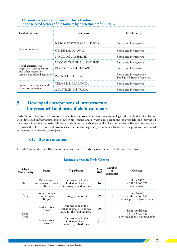| The most successful companies in Tuzla Canton<br>in the selected sectors of the tourism by operating profit in 2013 |                             |                                                          |  |  |  |
|---------------------------------------------------------------------------------------------------------------------|-----------------------------|----------------------------------------------------------|--|--|--|
| Field of tourism                                                                                                    | Company                     | Investor origin                                          |  |  |  |
| Accommodation                                                                                                       | NARGALIĆ-KOMERC Ltd. TUZLA  | Bosnia and Herzegovina                                   |  |  |  |
|                                                                                                                     | <b>GTI BH Ltd. LUKAVAC</b>  | Bosnia and Herzegovina                                   |  |  |  |
|                                                                                                                     | SIDOIL Ltd. SREBRENIK       | Bosnia and Herzegovina                                   |  |  |  |
|                                                                                                                     | LOGCAP-TRAVEL Ltd. ŽIVINICE | Bosnia and Herzegovina                                   |  |  |  |
| Travel agencies, tour<br>organizers, tour operators                                                                 | ELKETOURS Ltd. LUKAVAC      | Bosnia and Herzegovina                                   |  |  |  |
| and other reservation<br>services and related activities                                                            | PUTNIK Ltd. TUZLA           | Bosnia and Herzegovina /<br>The United States of America |  |  |  |
| Sports, entertainment and<br>recreation activities                                                                  | TERME Ltd. GRAČANICA        | Bosnia and Herzegovina                                   |  |  |  |
|                                                                                                                     | AQUATECH Ltd. TUZLA         | Bosnia and Herzegovina                                   |  |  |  |

### **5. Developed entrepreneurial infrastructure for greenfield and brownfield investments**

Tuzla Canton offers potential investors an established network of business zones, technology parks and business incubators, with developed infrastructure, mixed ownership (public and private) and possibilities of greenfield and brownfield investments in various industries. Ministries and administrative bodies as well as local authorities of Tuzla Canton are ready to provide their help to potential investors in every moment, regarding business establishment in the previously mentioned entrepreneurial infrastructure subjects.

### **5.1. Business zones**

In Tuzla Canton, there are 18 business zones that include 11 existing ones and seven in the initiation phase.

|                       | <b>Business zones in Tuzla Canton</b>         |                                                                                   |              |                                  |                                                              |  |
|-----------------------|-----------------------------------------------|-----------------------------------------------------------------------------------|--------------|----------------------------------|--------------------------------------------------------------|--|
| City/<br>Municipality | Name                                          | <b>Type/Status</b>                                                                | Area<br>(ha) | <b>Number</b><br>of<br>companies | Contact                                                      |  |
| Tuzla                 | Development<br>entrepreneurial zone<br>Tuzla  | Business zone in the<br>initiation phase -<br>Business-production zone            | 16           |                                  | Muris Nišić<br>+ 387 35 806 371<br>rpc@rpctuzla.ba           |  |
| Čelić                 | Business complex<br>business zone<br>"Brnjik" | Existing business zone                                                            | 29           | 3                                | Arif Salkić<br>+ 387 35 668 654<br>opcelicprivreda@gmail.com |  |
| Doboj                 | Business zone<br>"Luke"                       | Business zone in the<br>initiation phase - Business<br>zone for the food industry | 20           |                                  | Damir Avdaković<br>+ 387 35 720 421                          |  |
| Istok                 | Business zone<br>"Starača"                    | Business zone in the<br>initiation phase -<br>industrial, mixed zone              | 32           |                                  | privreda.dobojistok@bih.net.ba                               |  |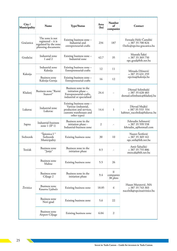| City/<br>Municipality | Name                                                                                   | <b>Type/Status</b>                                                                                                     | Area<br>(ha) | Number<br>of<br>companies         | Contact                                                               |
|-----------------------|----------------------------------------------------------------------------------------|------------------------------------------------------------------------------------------------------------------------|--------------|-----------------------------------|-----------------------------------------------------------------------|
| Gračanica             | The zone is not<br>registered $-$ it is<br>regulated by the zone<br>planning documents | Existing business zone -<br>Industrial and<br>entrepreneurial-crafts                                                   | 234          | 187                               | Fernada Helić Čamdžić<br>+38735700824<br>f.helic@opcina-gracanica.ba  |
| Gradačac              | Industrial zone<br>$1$ and $2$                                                         | Existing business zone -<br>Industrial zone                                                                            | 42.7         | 35                                | Mustafa Šakić<br>+ 387 35 369 750<br>opc.grad@bih.net.ba              |
| Kalesija              | Industrial zone<br>Kalesija                                                            | Existing business zone -<br>Entrepreneurial-crafts                                                                     | 12           | 11                                | Mirsada Džinović<br>+ 387 35 631 259                                  |
|                       | Business zone<br>Kalesija Gornja                                                       | Existing business zone -<br>Entrepreneurial-crafts                                                                     | 16           | 12                                | opcina@kalesija.ba                                                    |
| Kladanj               | Business zone "Ravni<br>Stanovi"                                                       | Business zone in the<br>initiation phase -<br>Entrepreneurial-crafts,<br>industrial or specialized                     | 24.4         |                                   | Dženad Selimbašić<br>+ 387 35 628 483<br>dzenad.selimbasic@kladanj.ba |
| Lukavac               | Industrial zone<br>Lukavac                                                             | Existing business zone -<br>Various (industrial,<br>production and services,<br>customs warehouses and<br>other types) | 14.4         | 1                                 | Dževad Mujkić<br>+ 387 35 553 554<br>kabinet_nacelnika@lukavac.ba     |
| Sapna                 | Industrial-business<br>zone $1$ (IP 1)                                                 | Business zone in the<br>initiation phase -<br>Industrial-business zone                                                 | 2            |                                   | Fehrudin Selimović<br>+ 387 35 599 558<br>fehrudin_s@hotmail.com      |
| Srebrenik             | "Špionica I"<br><i><u><b>Srebrenik</b></u></i><br>Municipality                         | Existing business zone                                                                                                 | 30           | 10                                | Nusret Šerifović<br>+ 387 35 369 161<br>opc.sreb@bih.net.ba           |
| Teočak                | Business zone<br>"Janja"                                                               | Business zone in the<br>initiation phase                                                                               | 0.5          |                                   | Amir Šabačkić<br>+ 387 35 755 886<br>oteocak@bih.net.ba               |
|                       | <b>Business</b> zone<br>Maline                                                         | Existing business zone                                                                                                 | 5.5          | 26                                |                                                                       |
|                       | Business zone<br>Ciljuge 2                                                             | Business zone in the<br>initiation phase                                                                               | 9.4          | $\theta$<br>companies<br>38 plots |                                                                       |
| Živinice              | Business zone<br>Kasarna Ljubače                                                       | Existing business zone                                                                                                 | 18.85        | 4                                 | Hasan Muratović, MA<br>+ 387 35 743 303<br>nacelnik@opcinazivinice.ba |
|                       | Business zone<br>Novi grad                                                             | Existing business zone                                                                                                 | 5.6          | 22                                |                                                                       |
|                       | Business zone<br>Airport Ciljuge                                                       | Existing business zone                                                                                                 | 6.04         | 2                                 |                                                                       |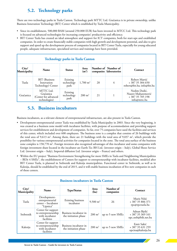### **5.2. Technology parks**

There are two technology parks in Tuzla Canton. Technology park MTTC Ltd. Gračanica is in private ownership, unlike Business Innovation Technology (BIT) Center which is established by Tuzla Municipality.

- • Since its establishment, 500,000 BAM (around 250.000 EUR) has been invested in MTCC Ltd. This technology park is focused on advanced technologies for increasing companies' productivity and efficiency.
- BIT Center Tuzla has created an ideal atmosphere and support for ICT companies, both for start-ups and established companies. In order to create financially stable companies with high growth and development potential, and also to give support and speed up the development process of companies located in BIT Center Tuzla, especially for young educated people, adequate infrastructure, specialized services and trainings have been provided.

| <b>Technology parks in Tuzla Canton</b> |                                                                 |                                |                           |    |                                               |                                                                        |
|-----------------------------------------|-----------------------------------------------------------------|--------------------------------|---------------------------|----|-----------------------------------------------|------------------------------------------------------------------------|
| City/<br>Municipality                   | Name                                                            | <b>Status</b>                  | Area<br>(m <sup>2</sup> ) |    | Number of Number of<br>companies laboratories | Contact                                                                |
| Tuzla                                   | BIT (Business)<br>Innovation<br>Technology) Center              | Existing<br>technology<br>park | $1,700 \text{ m}^2$       | 20 |                                               | Robert Martić<br>+ 387 35 304 650<br>robert@bit.ba; info@bit.ba        |
| Gračanica                               | MTTC Ltd.<br>Gračanica<br>(Center for advanced<br>technologies) | Existing<br>technology<br>park | $200 \; \mathrm{m}^2$     | 21 |                                               | Nedim Dedić.<br>Nusret Muharemović<br>+ 387 35 705 198<br>info@mttc.ba |

### **5.3. Business incubators**

Business incubators, as a relevant element of entrepreneurial infrastructure, are also present in Tuzla Canton.

- • Development-entrepreneurial center Tuzla was established by Tuzla Municipality in 2003. Since the very beginning, it was created as a business zone model with incubator facilities, with purpose of accommodation and providing support services for establishment and development of companies. So far, over 75 companies have used the facilities and services of this center, which included over 600 employees. The business zone is a complex that consists of 26 buildings with the total area of 9,613 m<sup>2</sup>. Among them, there are 21 buildings with the total area of 9,037 m<sup>2</sup>, which provide the possibility for various entrepreneurial activities for companies located in the zone. The total area surface of the business zone complex is 158,770 m². Foreign investors also recognized advantages of this incubator and some companies with foreign investment share located in the incubator are Earth-Tec BH Ltd. (investor origin – Italy), Global Shoes Service Ltd. (investor origin – Italy), Importal diffusion Ltd. (investor origin – France) and others.
- Within the EU project "Business Environment Strengthening for more SMEs in Tuzla and Neighboring Municipalities – BESt 4 SMEs", the establishment of Centers for support to entrepreneurship with incubator facilities, modeled after BIT Center Tuzla, is planned in Srebrenik and Kalesija municipalities. Functional center in Srebrenik, as well as in Kalesija, should be established by the end of 2015, and it will enable business incubation of five new companies in each of these centers.

| <b>Business incubators in Tuzla Canton</b> |                                                                           |                                               |                     |                                    |                                                       |
|--------------------------------------------|---------------------------------------------------------------------------|-----------------------------------------------|---------------------|------------------------------------|-------------------------------------------------------|
| City/<br>Municipality                      | Name                                                                      | <b>Type/Status</b>                            | Area<br>(ha)        | Number of<br>companies             | Contact                                               |
| Tuzla                                      | Development-<br>entrepreneurial<br>center – Incubator<br>"Lipnica"        | Existing business<br>incubator                | $9,500 \text{ m}^2$ | 26                                 | Muris Nišić<br>+ 387 35 806 371<br>rpc@rpctuzla.ba    |
| Srebrenik                                  | Center for support<br>to entrepreneurship<br>with incubator<br>facilities | Business incubator in<br>the initiation phase |                     | $200 \text{ m}^2$ up to 5 new SMEs | Adnan Bjelić<br>$+38735369161$<br>opc.sreb@bih.net.ba |
| Kalesija                                   | Center for support<br>to entrepreneurship<br>with incubator<br>facilities | Business incubator in<br>the initiation phase | $200 \text{ m}^2$   | up to 5 new SMEs                   | Emir Sakić<br>+ 387 35 631 259<br>opcina@kalesija.ba  |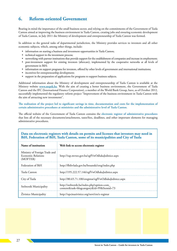### **6. Reform-oriented Government**

Bearing in mind the importance of the small business sector, and relying on the commitments of the Government of Tuzla Canton aimed at improving the business environment in Tuzla Canton, creating jobs and ensuring economic development of Tuzla Canton, in July 2011 the Ministry of development and entrepreneurship of Tuzla Canton was formed.

In addition to the general tasks of departmental jurisdiction, the Ministry provides services to investors and all other economic subjects, which, among other things, include:

- information on starting a business and investment opportunities in Tuzla Canton;
- technical support in the investment process;
- networking with partner institutions that provide support for the establishment of companies and increase in employment;
- post-investment support for existing investors (aftercare), implemented by the cooperative networks at all levels of government in BiH;
- information on support programs for investors, offered by other levels of government and international institutions;
- incentives for entrepreneurship development;
- • support in the preparation of applications for programs to support business subjects.

Additional information about the Ministry of development and entrepreneurship of Tuzla Canton is available at the Ministry website **www.mrptk.ba**. With the aim of creating a better business environment, the Government of Tuzla Canton and the IFC (International Finance Corporation), a member of the World Bank Group, have, as of October 2012, successfully implemented the regulatory reform project "Improvement of the business environment in Tuzla Canton with the aim of attracting new investments".

**The realization of the project led to significant savings in time, documentation and costs for the implementation of certain administrative procedures at minisitries and the administrative level of Tuzla Canton.**

The official website of the Government of Tuzla Canton contains the **electronic register of administrative procedures**  that lists all of the necessary documents/attachments, taxes/fees, deadlines, and other important elements for managing administrative procedures.

#### **Data on electronic registers with details on permits and licenses that investors may need in BiH, Federation of BiH, Tuzla Canton, some of its municipalities and City of Tuzla**

| Name of institution                                                    | Web link to access electronic register                                                 |
|------------------------------------------------------------------------|----------------------------------------------------------------------------------------|
| Ministry of Foreign Trade and<br><b>Economic Relations</b><br>(MOFTER) | http://rap.mvteo.gov.ba/egfVwOdlukaJedinice.aspx                                       |
| Federation of BiH                                                      | http://fbihvlada.gov.ba/bosanski/ereg/index.php                                        |
| Tuzla Canton                                                           | http://195.222.57.146/egfVwOdlukaJedinice.aspx                                         |
| City of Tuzla                                                          | http://80.65.71.100/eregistar/egfVwOdlukaJedinice.aspx                                 |
| Srebrenik Municipality                                                 | http://srebrenik.ba/index.php?option=com_<br>content&task=blogcategory&id=99&Itemid=73 |
| Živinice Municipality                                                  | http://opcinazivinice.org/novi/en/e-registar                                           |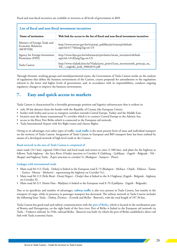Fiscal and non-fiscal incentives are available to investors at all levels of government in BiH.

| List of fiscal and non-fiscal investment incentives                    |                                                                                                                   |  |  |  |
|------------------------------------------------------------------------|-------------------------------------------------------------------------------------------------------------------|--|--|--|
| Name of institution                                                    | Web link for access to the list of fiscal and non-fiscal investment incentives                                    |  |  |  |
| Ministry of Foreign Trade and<br><b>Economic Relations</b><br>(MOFTER) | http://www.mvteo.gov.ba/izvjestaji_publikacije/izvjestaji/default.<br>aspx?id=6175&langTag=en-US                  |  |  |  |
| Agency for Foreign Investment<br>Promotion (FIPA)                      | http://www.fipa.gov.ba/informacije/povlastice/strani_investitori/default.<br>aspx?id=141&langTag=en-US            |  |  |  |
| Tuzla Canton                                                           | http://www.vladatk.kim.ba/Vlada/javni_pozivi/Lista_investicionih_poticaja_na_<br>TK_-_engleski_jezik_30062014.pdf |  |  |  |

Through thematic working groups and interdepartmental teams, the Government of Tuzla Canton works on the analysis of regulations that define the business environment of the Canton, creates proposals for amendments to the regulations referred to the lower and higher levels of government, and, in accordance with its responsibilities, conducts ongoing regulatory changes to improve the business environment.

### **7. Easy and quick access to markets**

Tuzla Canton is characterized by a favorable geostrategic position and logistics infrastructure that is evident in:

- only 30 km distance from the border with the Republic of Croatia (the European Union),
- • border with Serbia and access to transport corridors towards Central Europe, Turkey and the Middle East,
- • location near the future transnational Vc corridor which is to connect Central Europe to the Adriatic Sea,
- access to the River Port Brčko which is connected to the European rail network,
- Tuzla International Airport with five flight routes and charter flights.

Owing to its advantages over other types of traffic, **road traffic** is the most present form of mass and individual transport on the territory of Tuzla Canton. Integration of Tuzla Canton in European and BiH transport lines has been realized by means of a developed network of high-level roads in the Canton.

#### **Road network in the area of Tuzla Canton is comprised of:**

main roads (311 km), regional (340.4 km) and local roads and streets in cities (1,500 km), and plans for the highway as follows: Tuzla highway - the Sava River (Orašje) junction to Corridor X (Salzburg - Ljubljana - Zagreb - Belgrade - Niš - Skopje) and highway Tuzla - Žepče junction to corridor Vc (Budapest - Sarajevo - Ploče).

#### **Linkages with international roads**

- • Main road M-112 (Tuzla Doboj) is linked to the European road E-73 (Budapest Mohacs Osijek Ðakovo Šamac - Zenica - Mostar - Metković - representing the highway on Corridor Vc).
- • Main road M-113 (Šićki Brod Donji Hrgovi Orašje) that is linked to the A-3 highway (Zagreb Belgrade highway on Corridor X).
- • Main road M-211 (Simin Han Bijeljina) is linked to the European road E-70 (Ljubljana Zagreb Belgrade).

Due to its specificity and number of advantages, **railway traffic** is also very present in Tuzla Canton, but mainly in the transport of cargo, while its presence in passenger transport has decreased. The railway network in Tuzla Canton includes the following lines: Tuzla – Doboj, Živinice - Zvornik and Brčko - Banovići, with the total length of 187.30 km.

Tuzla Canton has good road and railway communication with the **port of Brčko**, which is located in the northeastern part of Bosnia and Herzegovina, on the right bank of the Sava river. Port of Brčko is linked to the European rail network via Tuzla – Vinkovci railroad. In 1946, railroad Brčko - Banovići was built, by which the port of Brčko established a direct rail link with Tuzla economic basin.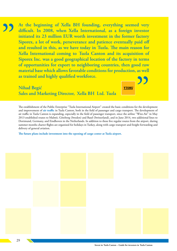**At the beginning of Xella BH founding, everything seemed very difficult. In 2008, when Xella International, as a foreign investor initiated its 23 million EUR worth investment in the former factory Siporex, a lot of work, perseverance and patience eventually paid off and resulted in this, as we have today in Tuzla. The main reason for Xella International coming to Tuzla Canton and its acquisition of Siporex Inc. was a good geographical location of the factory in terms of opportunities for export to neighboring countries, then good raw material base which allows favorable conditions for production, as well as trained and highly qualified workforce.** 

## The establishment of the Public Enterprise "Tuzla International Airport" created the basic conditions for the development<br>The establishment of the Public Enterprise "Tuzla International Airport" created the basic condition **Nihad Begić Sales and Marketing Director, Xella BH Ltd. Tuzla**

and improvement of **air traffic** in Tuzla Canton, both in the field of passenger and cargo transport. The development of air traffic in Tuzla Canton is expanding, especially in the field of passenger transport, since the airline "Wizz-Air" in May 2013 established routes to Malmö, Göteborg (Sweden) and Basel (Switzerland), and in June 2014, two additional lines to Dortmund, Germany, and Eindhoven in the Netherlands. In addition to these five regular routes from the airport, during summer months charter flights are organized for holidays in Turkey, along with cargo transport and freight forwarding and delivery of general aviation.

**The future plans include investment into the opening of cargo center at Tuzla airport.**

**YTONG** 

77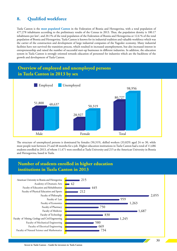### **8. Qualified workforce**

Tuzla Canton is the **most populated Canton** in the Federation of Bosnia and Herzegovina, with a total population of 477,278 inhabitants according to the preliminary results of the Census in 2013. Thus, the population density is 180.17 inhabitants per km2 , and 20.1% of the total population of the Federation of Bosnia and Herzegovina or 12.6 % of the total population of Bosnia and Herzegovina. Tuzla Canton is known for its industrial tradition and valuable workforce which was the carrier of the construction and development of large industrial companies of the Yugoslav economy. Many industrial facilities have not survived the transition process, which resulted in increased unemployment, but also increased interest in entrepreneurship and raised the number of successful start-up businesses in different industries. In addition, the education system in Tuzla Canton is strongly oriented towards education of personnel for industries which are the backbone of the growth and development of Tuzla Canton.

### **Overview of employed and unemployed persons in Tuzla Canton in 2013 by sex**



The structure of unemployed persons is dominated by females (50,319), skilled workers (33,829) aged 24 to 30, while most people wait between 25 and 48 months for a job. Higher education institutions in Tuzla Canton had a total of 11,686 students enrolled in 2013, of whom 11,471 were enrolled at Tuzla University and 215 at the American University in Bosnia and Herzegovina, based in Tuzla.

### **Number of students enrolled in higher education institutions in Tuzla Canton in 2013**

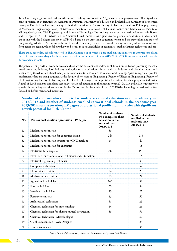Tuzla University organizes and performs the science-teaching process within 47 graduate course programs and 50 postgraduate course programs at 13 faculties: The Academy of Dramatic Arts, Faculty of Education and Rehabilitation, Faculty of Economics, Faculty of Electrical Engineering, Faculty of Physical Education and Sports, Faculty of Pharmacy, Faculty of Philosophy, Faculty of Mechanical Engineering, Faculty of Medicine, Faculty of Law, Faculty of Natural Science and Mathematics, Faculty of Mining, Geology and Civil Engineering, and Faculty of Technology. The teaching process at the American University in Bosnia and Herzegovina (AUBiH) is based on the American liberal education with graduate, postgraduate and doctoral studies, which are in line with the Bologna principles. AUBiH is based on the American education system and the curriculum and rules of study are aligned with it. According to the mission of the University, its goal is to provide quality university education to students from across the region, which follows the world trends in specialized fields of economics, public relations, technology and art.

There are 36 secondary schools registered in Tuzla Canton, out of which 32 are public institutions, one is a private school and three of them are secondary schools for adult education. In the academic year 2013/2014, 22,300 students attended classes in 32 secondary schools.

The potential for growth of economic sectors which are the development backbone of Tuzla Canton (wood processing industry, metal processing industry, food industry and agricultural production, plastics and tool industry and chemical industry) is facilitated by the education of staff in higher education institutions, as well as by vocational training. Apart from general profiles, professionals that are being educated at the Faculty of Mechanical Engineering, Faculty of Electrical Engineering, Faculty of Civil Engineering, Faculty of Pharmacy and Faculty of Technology create a specialized workforce for these propulsive industries. A total of 4,643 students completed secondary vocational education in the academic year 2012/2013 and 3,173 students were enrolled in secondary vocational schools in the Canton area in the academic year 2013/2014, including professional profiles focused on before mentioned industries.

#### **Number of students who completed secondary vocational education in the academic year 2012/2013 and number of students enrolled in vocational schools in the academic year 2013/2014, for the vocational IV degree of professional profiles for industries with significant growth potential for Tuzla Canton**

| No. | Professional vocation / profession – IV degree          | Number of students<br>who completed their<br>education in the<br>academic year<br>2012/2013 | Number of students<br>enrolled in the<br>academic year<br>2013/2014 |
|-----|---------------------------------------------------------|---------------------------------------------------------------------------------------------|---------------------------------------------------------------------|
| 1.  | Mechanical technician                                   | 83                                                                                          |                                                                     |
| 2.  | Mechanical technician for computer design               | 245                                                                                         | 216                                                                 |
| 3.  | Mechanical technician operator for CNC machine          | 45                                                                                          | 40                                                                  |
| 4.  | Mechanical technician for energetics                    | $\sim$                                                                                      | 18                                                                  |
| 5.  | Electrician for energetics                              | 207                                                                                         | 150                                                                 |
| 6.  | Electrician for computational techniques and automation | $\overline{a}$                                                                              | 15                                                                  |
| 7.  | Electrical engineering technician                       | 47                                                                                          | 39                                                                  |
| 8.  | Computer technician                                     | 52                                                                                          | 52                                                                  |
| 9.  | Electronics technician                                  | 24                                                                                          | 25                                                                  |
| 10. | Mechatronics technician                                 | 23                                                                                          | 24                                                                  |
| 11. | Agricultural technician                                 | 146                                                                                         | 59                                                                  |
| 12. | Food technician                                         | 59                                                                                          | 34                                                                  |
| 13. | Veterinary technician                                   | 49                                                                                          | 27                                                                  |
| 14. | Forestry technician                                     | 25                                                                                          | 50                                                                  |
| 15. | Architectural technician                                | 58                                                                                          | 23                                                                  |
| 16. | Chemical technician for biotechnology                   | 44                                                                                          | 21                                                                  |
| 17. | Chemical technician for pharmaceutical production       | 53                                                                                          | 56                                                                  |
| 18. | Chemical technician - Microbiologist                    |                                                                                             | 30                                                                  |
| 19. | Graphics technician - Web Designer                      | $\overline{\phantom{a}}$                                                                    | 23                                                                  |
| 20. | Tourist technician                                      | 57                                                                                          | 36                                                                  |

*Source: Records of the Ministry of education, science, culture and sports of Tuzla Canton*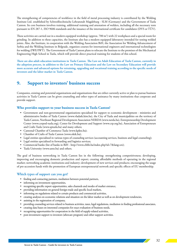The strengthening of competencies of workforce in the field of metal processing industry is contributed by the Welding Institute Ltd. established by Schweißtechnische Lehranstalt Magdeburg - SLM (Germany) and the Government of Tuzla Canton. Its core business involves training, additional training and attestation of welders, including all the necessary tests pursuant to EN 287-1, ISO 9606 standards and the issuance of the international certificate for candidates (DVS or TÜV).

These activities are carried out in a modern equipped workshop (approx. 700 m<sup>2</sup>) with 22 workplaces and a special room for grinding. In addition to these capacities, the Institute also has a modern equipped laboratory intended for testing welded joints. Also, the Institute, in cooperation with the Welding Association BiH, the Association for Welding Advancement of Serbia and the Welding Institute in Belgrade, organizes courses for international engineers and international technologists for welding (IWE/IWT). The Government of Tuzla Canton plans to relocate the Institute to the premises of the Mechanical Engineering High School in Tuzla, which will provide direct practical training for students of this school.

**There are also adult education institutions in Tuzla Canton. The Law on Adult Education of Tuzla Canton, currently in the adoption process, in addition to the Law on Primary Education and the Law on Secondary Education will provide more accurate and advanced options for retraining, upgrading and vocational training according to the specific needs of investors and the labor market in Tuzla Canton.**

### **9. Support to investors' business success**

Companies, existing and potential organizations and organizations that are either currently active or plan to pursue business activities in Tuzla Canton can be given counseling and other types of assistance by many institutions that cooperate and provide support.

### **Who provides support to your business success in Tuzla Canton?**

- • Government and non-governmental organizations specialized for support to economic development ministries and administrative bodies of Tuzla Canton (www.vladatk.kim.ba), the City of Tuzla and municipalities on the territory of Tuzla Canton, Northeast Regional Development Association NERDA (www.nerda.ba), Entrepreneurship Development Center (www.cerpod-tuzla.org), Center for Development and Support (www.crp.org.ba), Association of Entrepreneurs and Crafts Tuzla (www.sptuzla.ba) and many others;
- Cantonal Chamber of Commerce Tuzla (www.kpktz.ba);
- Chamber of Crafts of Tuzla Canton (www.oktk.ba);
- • Legal entities specialized in various types of counseling services (accounting services, business and legal counseling);
- • Legal entities specialized in forwarding and logistics services;
- Commercial banks (list of banks in BiH http://www.cbbh.ba/index.php?id=7&lang=en);
- Tuzla University (www.untz.ba) and others.

The goal of business networking in Tuzla Canton lies in the following: strengthening competitiveness; developing, improving and encouraging domestic production and export; creating affordable methods of operating in the regional market; networking academic institutions and industry; development of new services and products; encouraging the usage of pre-accession funds with the promotion of European entrepreneurial network and specific effects of EU membership.

#### **Which types of support can you get?**

- finding and contacting partners, mediation between potential partners,
- • informing on investment opportunities,
- • recognizing specific export opportunities, sales channels and modes of market entrance,
- providing information on general foreign-trade and specific local markets,
- informing on regulations related to certain products and commercial activities,
- creating analyses on economic relations and situation on the labor market as well as on development tendencies,
- assisting in the registration of company,
- providing counseling services related to business activities, taxes, legal regulations, mediation in finding professional associates,
- creating data bases on interested companies for exact evaluation of business needs,
- recognizing opportunities for cooperation in the field of supply-related activities,
- post-investment support to investors (aftercare program) and other support activities.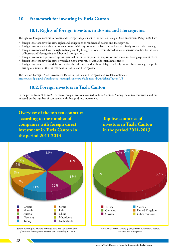### **10. Framework for investing in Tuzla Canton**

### **10.1. Rights of foreign investors in Bosnia and Herzegovina**

The rights of foreign investors in Bosnia and Herzegovina, pursuant to the Law on Foreign Direct Investment Policy in BiH are:

- foreign investors have the same rights and obligations as residents of Bosnia and Herzegovina,
- foreign investors are entitled to open accounts with any commercial bank in the local or a freely convertible currency,
- foreign investors will have the right to freely employ foreign nationals from abroad unless otherwise specified by the laws of Bosnia and Herzegovina on labor and immigration,
- foreign investors are protected against nationalization, expropriation, requisition and measures having equivalent effect,
- foreign investors have the same ownership rights over real estates as Bosnian legal entities,
- foreign investors have the right to transfer abroad, freely and without delay, in a freely convertible currency, the profit arising as a result of their investment in Bosnia and Herzegovina.

The Law on Foreign Direct Investment Policy in Bosnia and Herzegovina is available online at: http://www.fipa.gov.ba/publikacije\_materijali/zakoni/default.aspx?id=315&langTag=en-US

### **10.2. Foreign investors in Tuzla Canton**

In the period from 2011 to 2013, many foreign investors invested in Tuzla Canton. Among them, ten countries stand out in based on the number of companies with foreign direct investment.

**Overview of the top ten countries according to the number of companies with foreign direct investment in Tuzla Canton in the period 2011-2013**

**Top five countries of investors in Tuzla Canton in the period 2011-2013**



*Source: Record of the Ministry of foreign trade and economic relations of Bosnia and Herzegovina Remark: until November, 30, 2013*



*Source: Record of the Ministry of foreign trade and economic relations of Bosnia and Herzegovina*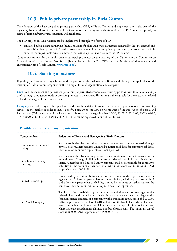### **10.3. Public-private partnership in Tuzla Canton**

The adoption of the Law on public-private partnership (PPP) of Tuzla Canton and implementation rules created the regulatory frameworks on the territory of the Canton for concluding and realization of the first PPP projects, especially in terms of traffic infrastructure, education and healthcare.

The PPP projects in Tuzla Canton can be implemented through two forms of PPP:

- • contracted public-private partnership (mutual relations of public and private partners are regulated by the PPP contract) and
- • status public-private partnership (based on co-owner relations of public and private partners in a joint company that is the carrier of the project implementation through the Partnership Contract effective as the PPP contract).

Contact institutions for the public-private partnership projects on the territory of the Canton are the Committee on Concessions of Tuzla Canton (komisijatk@bih.net.ba, + 387 35 281 742) and the Ministry of development and entrepreneurship of Tuzla Canton (www.mrptk.ba).

### **10.4. Starting a business**

Regarding the form of starting a business, the legislation of the Federation of Bosnia and Herzegovina applicable on the territory of Tuzla Canton recognizes craft – a simpler form of organization, and company.

**Craft** is an independent and permanent performing of permitted economic activities by persons, with the aim of making a profit through production, trade or providing services in the market. This form is rather suitable for those activities related to handicrafts, agriculture, transport etc.

**Company** is a legal entity that independently performs the activity of production and sale of products as well as providing services in the market in order to make a profit. Pursuant to the Law on Companies of the Federation of Bosnia and Herzegovina (Official Gazette of the Federation of Bosnia and Herzegovina, No. 23/99, 45/00, 2/02, 6/02, 29/03, 68/05, 91/07, 84/08, 88/08, 7/09, 63/10 and 75/13), they can be organized in one of four forms.

| Possible forms of company organization |                                                                                                                                                                                                                                                                                                                                                                                                                                                                                                                                                                                           |  |
|----------------------------------------|-------------------------------------------------------------------------------------------------------------------------------------------------------------------------------------------------------------------------------------------------------------------------------------------------------------------------------------------------------------------------------------------------------------------------------------------------------------------------------------------------------------------------------------------------------------------------------------------|--|
| Company form                           | Federation of Bosnia and Herzegovina (Tuzla Canton)                                                                                                                                                                                                                                                                                                                                                                                                                                                                                                                                       |  |
| Company with unlimited<br>liability    | Shall be established by concluding a contract between two or more domestic/foreign<br>physical persons. Members have unlimited joint responsibilities for company's liabilities.<br>Maximum or minimum capital stock is not specified.                                                                                                                                                                                                                                                                                                                                                    |  |
| Ltd.(Limited liability<br>company)     | Shall be established by adopting the act of incorporation or contract between one or<br>more domestic/foreign individuals and/or entities with capital stock divided into<br>shares. A member of a limited liability company shall be responsible for company's<br>liabilities in the amount of his/her share. Minimum stock capital is 2,000 BAM<br>(approximately 1,000 EUR).                                                                                                                                                                                                           |  |
| Limited Partnership                    | Established by a contract between two or more domestic/foreign persons and/or<br>legal entities. At least one partner has full responsibility (including private ownership)<br>and at least one partner has the liability limited by the value of his/her share in the<br>company. Maximum or minimum capital stock is not specified.                                                                                                                                                                                                                                                     |  |
| Joint Stock Company                    | This legal entity is established by one or more domestic/foreign persons or legal entities<br>- shareholders with capital stock divided into shares. Open society is a legal entity<br>(bank, insurance company or a company) with a minimum capital stock of 4,000,000<br>BAM (approximately 2 million EUR) and at least 40 shareholders whose shares are<br>issued through a public offering. Closed society is a type of joint-stock company<br>whose shares are issued among a limited number of participants. The minimum capital<br>stock is 50,000 BAM (approximately 25,000 EUR). |  |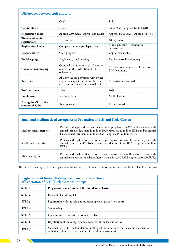| Differences between craft and Ltd.      |                                                                                                                                     |                                                         |
|-----------------------------------------|-------------------------------------------------------------------------------------------------------------------------------------|---------------------------------------------------------|
|                                         | Craft                                                                                                                               | Ltd.                                                    |
| Capital stock:                          | None                                                                                                                                | 2,000 BAM (approx. 1,000 EUR)                           |
| <b>Registration costs:</b>              | Approx. 250 BAM (approx. 128 EUR)                                                                                                   | Approx. 1,000 BAM (Approx. 511 EUR)                     |
| Time required for<br>registration:      | 15 days max                                                                                                                         | 40 days max                                             |
| <b>Registration body:</b>               | Competent municipal department                                                                                                      | Municipal court - economical<br>department              |
| Responsibility:                         | Craft property                                                                                                                      | Capital stock value                                     |
| Bookkeeping:                            | Single-entry bookkeeping                                                                                                            | Double-entry bookkeeping                                |
| Chamber membership:                     | Cantonal chambers of crafts/Chamber<br>of crafts of the Federation of BiH -<br>obligatory                                           | Chamber of commerce of Federation of<br>BiH - voluntary |
| <b>Activities:</b>                      | All activities are permitted with owner's<br>appropriate qualification for the related<br>crafts and/or license for licensed crafts | All activities permitted                                |
| Profit tax rate:                        | 10%                                                                                                                                 | 10%                                                     |
| <b>Employees:</b>                       | No limitations                                                                                                                      | No limitations                                          |
| Paying the VAT in the<br>amount of 17%: | Invoice collected                                                                                                                   | Invoice issued                                          |

| Small and medium sized enterprises in Federation of BiH and Tuzla Canton |                                                                                                                                                                                                                                             |  |
|--------------------------------------------------------------------------|---------------------------------------------------------------------------------------------------------------------------------------------------------------------------------------------------------------------------------------------|--|
| Medium sized enterprise                                                  | Persons and legal entities that on average employ less than 250 workers a year, with<br>annual turnover less than 40 million BAM (approx. 20 million EUR) and/or annual<br>balance sheet less than 30 million BAM (approx. 15 million EUR). |  |
| Small sized enterprise                                                   | Persons and legal entities that on average employ less than 50 workers a year, with<br>annual turnover and/or balance sheet less than 4 million BAM (approx. 2 million<br>EUR).                                                             |  |
| Micro enterprise                                                         | Persons and legal entities that on average employ less than 10 workers a year, with<br>annual turnover and/or balance sheet less than 400,000 BAM (approx. 200,000 EUR).                                                                    |  |

The most frequent type of company's organization chosen by domestic and foreign investors is a limited liability company.

| Registration of limited liability company on the territory<br>of Federation of BiH (Tuzla Canton) in steps |                                                                                                                                                         |  |
|------------------------------------------------------------------------------------------------------------|---------------------------------------------------------------------------------------------------------------------------------------------------------|--|
| STEP <sub>1</sub>                                                                                          | Preparation and creation of the foundation charter                                                                                                      |  |
| STEP <sub>2</sub>                                                                                          | Payment of stock capital                                                                                                                                |  |
| STEP <sub>3</sub>                                                                                          | Registration with the relevant municipal/general jurisdiction court                                                                                     |  |
| STEP <sub>4</sub>                                                                                          | Seal making                                                                                                                                             |  |
| STEP <sub>5</sub>                                                                                          | Opening an account with a commercial bank                                                                                                               |  |
| STEP <sub>6</sub>                                                                                          | Registration of the company and employees at the tax authorities                                                                                        |  |
| STEP <sub>7</sub>                                                                                          | Statement given by the founder on fulfilling all the conditions for the commencement of<br>activities (submitted to the relevant inspection department) |  |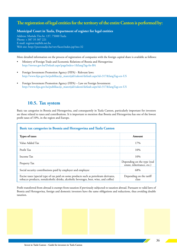### **The registration of legal entities for the territory of the entire Canton is performed by:**

### **Municipal Court in Tuzla, Department of register for legal entities**

Address: Maršala Tita br. 137, 75000 Tuzla Phone: + 387 35 307 221 E-mail: registar.tz@bih.net.ba Web site: http://pravosudje.ba/vstv/faces/index.jsp?ins=32

More detailed information on the process of registration of companies with the foreign capital share is available as follows:

- Ministry of Foreign Trade and Economic Relations of Bosnia and Herzegovina: http://mvteo.gov.ba/Default.aspx?pageIndex=1&langTag=bs-BA
- Foreign Investment Promotion Agency (FIPA) Relevant laws: http://www.fipa.gov.ba/publikacije\_materijali/zakoni/default.aspx?id=317&langTag=en-US
- Foreign Investment Promotion Agency (FIPA) Law on Foreign Investment: http://www.fipa.gov.ba/publikacije\_materijali/zakoni/default.aspx?id=317&langTag=en-US

### **10.5. Tax system**

Basic tax categories in Bosnia and Herzegovina, and consequently in Tuzla Canton, particularly important for investors are those related to taxes and contributions. It is important to mention that Bosnia and Herzegovina has one of the lowest profit taxes of 10%, in the region and Europe.

| Basic tax categories in Bosnia and Herzegovina and Tuzla Canton                                                                                                             |                                                           |  |
|-----------------------------------------------------------------------------------------------------------------------------------------------------------------------------|-----------------------------------------------------------|--|
| Types of taxes                                                                                                                                                              | Amount                                                    |  |
| Value Added Tax                                                                                                                                                             | $17\%$                                                    |  |
| Profit Tax                                                                                                                                                                  | 10%                                                       |  |
| Income Tax                                                                                                                                                                  | 10%                                                       |  |
| Property Tax                                                                                                                                                                | Depending on the type (real<br>estate, inheritance, etc.) |  |
| Social security contributions paid by employer and employee                                                                                                                 | 68%                                                       |  |
| Excise taxes (special type of tax paid on some products such as petroleum derivates,<br>tobacco products, nonalcoholic drinks, alcoholic beverages, beer, wine, and coffee) | Depending on the tariff<br>class                          |  |

Profit transferred from abroad is exempt from taxation if previously subjected to taxation abroad. Pursuant to valid laws of Bosnia and Herzegovina, foreign and domestic investors have the same obligations and reductions, thus avoiding double taxation.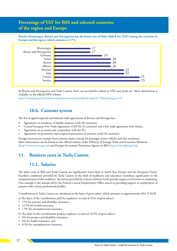### **Percentage of VAT for BiH and selected countries of the region and Europe**

**Besides Montenegro, Bosnia and Herzegovina has the lowest rate of Value Added Tax (VAT) among the countries in Europe and the region, which amounts to 17%.**



In Bosnia and Herzegovina and Tuzla Canton, there are tax benefits related to VAT and profit tax. More information is available on the official FIPA website

http://www.fipa.gov.ba/informacije/poslovanje/porezi/default.aspx?id=76&langTag=en-US

### **10.6. Customs system**

The list of signed regional and bilateral trade agreements of Bosnia and Herzegovina:

- Agreement on avoidance of double taxation (with 40 countries),
- Central European Free Trade Agreement (CEFTA) (6 countries) and a free trade agreement with Turkey,
- Agreement on accession and cooperation with the EU,
- Agreement on promotion and reciprocal protection of investors (with 40 countries).

Foreign investors are exempt from customs duties (except for passenger motor vehicles and slot machines). More information can be found on the official website of the Ministry of Foreign Trade and Economic Relations (http://www.mvteo.gov.ba) and Foreign Investment Promotion Agency in BiH (http://www.fipa.gov.ba).

### **11. Business costs in Tuzla Canton**

### **11.1. Salaries**

The labor costs in BiH and Tuzla Canton are significantly lower than in South East Europe and the European Union. Excellent conditions provided by Tuzla Canton in the field of healthcare and education contribute significantly to the competitiveness of the workforce. Incentives provided by various authority levels provide support to investors in employing. One example is the annual call by the Federal Central Employment Office aimed at providing support to employment of persons with various professional profiles.

Contributions in Tuzla Canton are calculated on the basis of gross salary, which amounts to approximately 604.79 EUR.

- a) The share of the contributions paid by employees (a total of 31% of gross salary):
- 17% for pension and disability insurance,
- 12.5% for health insurance,
- 1.5% for unemployment insurance.

b) The share in the contributions paid by employer (a total of 10.5% of gross salary):

- 6% for pension and disability insurance,
- 4% for health insurance, and
- 0.5% for unemployment insurance.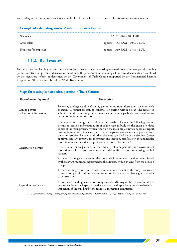Gross salary includes employee's net salary, multiplied by a coefficient determined, plus contributions from salaries.

| <b>Example of calculating workers' salaries in Tuzla Canton</b> |                                |
|-----------------------------------------------------------------|--------------------------------|
| Net salary                                                      | 782.32 BAM - 400 EUR           |
| Gross salary                                                    | approx. 1,183 BAM - 604.79 EUR |
| Total cost for employer                                         | approx. 1,319 BAM - 674.39 EUR |

### **11.2. Real estates**

Basically, investor planning to construct a new object or reconstruct the existing one needs to obtain three permits: zoning permit, construction permit and inspection certificate. The procedures for obtaining all the three documents are simplified by the regulatory reform implemented by the Government of Tuzla Canton supported by the International Finance Corporation (IFC), the member of the World Bank Group.

| <b>Steps for issuing construction permits in Tuzla Canton</b> |                                                                                                                                                                                                                                                                                                                                                                                                                                                                                                                                                                                                                         |  |
|---------------------------------------------------------------|-------------------------------------------------------------------------------------------------------------------------------------------------------------------------------------------------------------------------------------------------------------------------------------------------------------------------------------------------------------------------------------------------------------------------------------------------------------------------------------------------------------------------------------------------------------------------------------------------------------------------|--|
| Type of permit/approval                                       | Description                                                                                                                                                                                                                                                                                                                                                                                                                                                                                                                                                                                                             |  |
| Zoning permit<br>or location information                      | Following the legal validity of zoning permit or location information, investor needs<br>to submit a request for issuing construction permit within a year. The request is<br>submitted to the same body, most often a relevant municipal body that issued zoning<br>permit or location information.                                                                                                                                                                                                                                                                                                                    |  |
|                                                               | The request for issuing construction permit needs to include the following: zoning<br>permit or location information, proof of the right to build on the given site, three<br>copies of the main project, written report on the main project revision, project report<br>on examining works if its data was used in the preparation of the main project, evidence<br>on administrative fee paid, and other elements specified by particular laws (water<br>approval, sanitary approval for the project and location, certificate on the applied fire<br>protection measures and labor protection in project documents). |  |
| Construction permit                                           | The relevant municipal body or the Ministry of zone planning and environment<br>protection shall issue construction permit within 20 days from submitting the full<br>request.                                                                                                                                                                                                                                                                                                                                                                                                                                          |  |
|                                                               | A client may lodge an appeal on the formal decision on construction permit issued<br>by the relevant municipal department to the Ministry within 15 days from the decision<br>receipt.                                                                                                                                                                                                                                                                                                                                                                                                                                  |  |
|                                                               | Investor is obliged to report construction commencement to the body that issued<br>construction permit and the relevant inspection body, not later than eight days prior<br>to construction.                                                                                                                                                                                                                                                                                                                                                                                                                            |  |
| Inspection certificate                                        | Constructed building may be used only after the Ministry or the relevant municipal<br>department issues the inspection certificate, based on the previously conducted technical<br>inspection of the building by the technical inspection committee.                                                                                                                                                                                                                                                                                                                                                                    |  |

*More information: Ministry of zone planning and environment protection of Tuzla Canton (+ 387 35 369 428, minpuzo@tk.kim.ba)*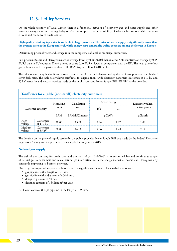### **11.3. Utility Services**

On the whole territory of Tuzla Canton there is a functional network of electricity, gas, and water supply and other necessary energy sources. The regularity of effective supply is the responsibility of relevant institutions which serve to citizens and economy of Tuzla Canton.

#### **High quality drinking tap water is available in large quantities. The price of water supply is significantly lower than the average price at the European level, while energy costs and public utility costs are among the lowest in Europe.**

Determining prices of water and sewage is in the competence of local or municipal authorities.

Fuel prices in Bosnia and Herzegovina are on average lower by 0.10 EUR/l than in other SEE countries, on average by 0.15 EUR/l than in EU countries. Diesel price is by some 0.40 EUR / l lower in comparison with the EU. The retail price of car gas in Bosnia and Herzegovina is about 1,00 BAM (Approx. 0,52 EUR) per liter.

The price of electricity is significantly lower than in the EU and it is determined by the tariff group, season, and higher/ lower daily rates. The table below shows tariff rates for eligible (non-tariff) electricity customers (customers at 110 kV and 35 kV network) and electricity prices made by the public company Power Supply BiH "EPBiH" as the provider.

| Tariff rates for eligible (non-tariff) electricity customers |                                  |                             |              |               |     |                                     |
|--------------------------------------------------------------|----------------------------------|-----------------------------|--------------|---------------|-----|-------------------------------------|
| Customer category                                            |                                  | Measuring<br>point<br>power | Calculation  | Active energy |     |                                     |
|                                                              |                                  |                             |              |               |     | Excessively taken<br>reactive power |
|                                                              |                                  | <b>BAM</b>                  | BAM/kW/month | pf/kWh        |     | pf/kvarh                            |
| voltage                                                      | Customers<br>at $110 \text{ kV}$ | 20.00                       | 15.68        | 9.94          | 497 | - () 9                              |
| Medium<br>voltage                                            | Customers<br>at $35 \text{ kV}$  | 20.00                       | I G G 8      | 9.56          |     |                                     |

The decision on the price of supply service by the public provider Power Supply BiH was made by the Federal Electricity Regulatory Agency and the prices have been applied since January 2013.

#### **Natural gas supply**

The task of the company for production and transport of gas "BH-GAS" is to ensure reliable and continuous supply of natural gas to consumers and make natural gas more attractive in the energy market of Bosnia and Herzegovina by constantly improving its business activities.

Natural gas transportation system in Bosnia and Herzegovina has the main characteristics as follows:

- • gas pipeline with a length of 191 km,
- gas pipeline with a diameter of 406.4 mm,
- • designed pressure of 50 bar,
- designed capacity of 1 billion  $m^3$  per year.

"BH-Gas" controls the gas pipeline in the length of 135 km.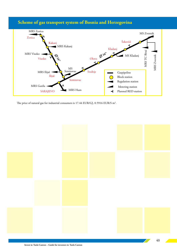### **Scheme of gas transport system of Bosnia and Herzegovina**



The price of natural gas for industrial consumers is 17.44  $\rm EUR/GJ$ , 0.5916  $\rm EUR/S$  m $^3$ .



40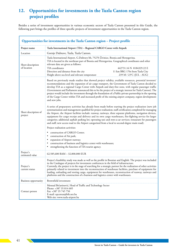### **12. Opportunities for investments in the Tuzla Canton region project profiles**

Besides a series of investment opportunities in various economic sectors of Tuzla Canton presented in this Guide, the following part brings the profiles of three specific projects of investment opportunities in the Tuzla Canton region.

| Opportunities for investments in the Tuzla Canton region – Project profile |                                                                                                                                                                                                                                                                                                                                                                                                                                                                                                                                                                                                                                                                                                                                                                                                                                                                                                                                                                                                                                                                                                                                                                                                                                                                                                                                                                                                                                                                                                                                                                                                                            |  |
|----------------------------------------------------------------------------|----------------------------------------------------------------------------------------------------------------------------------------------------------------------------------------------------------------------------------------------------------------------------------------------------------------------------------------------------------------------------------------------------------------------------------------------------------------------------------------------------------------------------------------------------------------------------------------------------------------------------------------------------------------------------------------------------------------------------------------------------------------------------------------------------------------------------------------------------------------------------------------------------------------------------------------------------------------------------------------------------------------------------------------------------------------------------------------------------------------------------------------------------------------------------------------------------------------------------------------------------------------------------------------------------------------------------------------------------------------------------------------------------------------------------------------------------------------------------------------------------------------------------------------------------------------------------------------------------------------------------|--|
| Project name                                                               | Tuzla International Airport (TIA) – Regional CARGO Center with Airpark                                                                                                                                                                                                                                                                                                                                                                                                                                                                                                                                                                                                                                                                                                                                                                                                                                                                                                                                                                                                                                                                                                                                                                                                                                                                                                                                                                                                                                                                                                                                                     |  |
| Location                                                                   | Gornje Dubrave, Tuzla, Tuzla Canton.                                                                                                                                                                                                                                                                                                                                                                                                                                                                                                                                                                                                                                                                                                                                                                                                                                                                                                                                                                                                                                                                                                                                                                                                                                                                                                                                                                                                                                                                                                                                                                                       |  |
| Short description<br>of location                                           | Tuzla International Airport, G.Dubrave bb, 75270 Živinice, Bosnia and Herzegovina.<br>TIA is located in the northeast part of Bosnia and Herzegovina. Geographical coordinates and other<br>relevant data are given as follows:<br>TIA coordinates<br>442731.16 N 0184329.22 E<br>11 km BRG 170s from Tuzla City<br>Direction and distance from the city<br>Height above sea-level and relevant temperature<br>239 M / 23°C (JUL - AUG)                                                                                                                                                                                                                                                                                                                                                                                                                                                                                                                                                                                                                                                                                                                                                                                                                                                                                                                                                                                                                                                                                                                                                                                    |  |
| Short description of<br>project                                            | Based on previously made studies that showed project validity, available resources, potential investors'<br>recommendations and the expansion of air cargo transport, the Government of Tuzla Canton decided to<br>develop TIA as a regional Cargo Center with Airpark and duty-free zone, with regular passenger traffic<br>(Government and Parliament announced this to be the project of a strategic interest for Tuzla Canton). The<br>project would include the investment through the foundation of a Public-private partnership in the opening<br>of the Cargo Center within TIA and increased profit of the existing airport company, region development<br>and new jobs.<br>A series of preparatory activities has already been made before starting the project realization (new job<br>systematization and management qualified for project realization; staff certification completed for managing<br>the Airport, the Airport facilities include: runway, taxiways, three separate platforms, navigation devices,<br>equipment for cargo receipt and delivery and its own cargo warehouses, fire-fighting service for larger<br>categories; additional asphalt parking lot; operating taxi and rent-a-car services; restaurant for passengers<br>and staff; new access road to the Airport categorized from a local to second-degree main road).<br>Project realization activities:<br>construction of CARGO Center;<br>construction of Air park;<br>expansion of Airport runway;<br>construction of business and logistics center with warehouses;<br>strengthening the function of TIA tourist agency.<br>٠ |  |
| Project's<br>estimated value                                               | $62,585,600$ BAM $- 32,000,000$ EUR                                                                                                                                                                                                                                                                                                                                                                                                                                                                                                                                                                                                                                                                                                                                                                                                                                                                                                                                                                                                                                                                                                                                                                                                                                                                                                                                                                                                                                                                                                                                                                                        |  |
| Project's<br>current status                                                | Project's feasibility study was made as well as the profile in Bosnian and English. The project was included<br>in the Catalogue of projects for investment conferences in the field of infrastructure.<br>Currently, the project is in the stage of searching for a strategic partner for the realization of other activities<br>primarily related to investment into the reconstruction of warehouse facilities, purchase of equipment for<br>loading, unloading and storing cargo, equipment for warehouses, reconstruction of runway, taxiways and<br>platforms and the construction of a business and logistics center with warehouses.                                                                                                                                                                                                                                                                                                                                                                                                                                                                                                                                                                                                                                                                                                                                                                                                                                                                                                                                                                               |  |
| Business opportunity                                                       | Brownfield investment                                                                                                                                                                                                                                                                                                                                                                                                                                                                                                                                                                                                                                                                                                                                                                                                                                                                                                                                                                                                                                                                                                                                                                                                                                                                                                                                                                                                                                                                                                                                                                                                      |  |
| Contact person                                                             | Mensud Brčaninović, Head of Traffic and Technology Sector<br>Phone: +387 35 814 605<br>Fax: +387 35 745 750<br>E-mail: opcentar@bih.net.ba<br>Web site: www.tuzla-airport.ba                                                                                                                                                                                                                                                                                                                                                                                                                                                                                                                                                                                                                                                                                                                                                                                                                                                                                                                                                                                                                                                                                                                                                                                                                                                                                                                                                                                                                                               |  |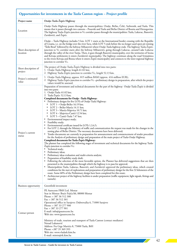| Opportunities for investments in the Tuzla Canton region - Project profile |                                                                                                                                                                                                                                                                                                                                                                                                                                                                                                                                                                                                                                                                                                                                                                                                                                                                                                                                                                                                                                                                                                                                                                                                                                                                                                                                                                                                                                                                                                                                                                                                                                                                                                                                                                                                                                                                                                                                                                                                                                                  |  |
|----------------------------------------------------------------------------|--------------------------------------------------------------------------------------------------------------------------------------------------------------------------------------------------------------------------------------------------------------------------------------------------------------------------------------------------------------------------------------------------------------------------------------------------------------------------------------------------------------------------------------------------------------------------------------------------------------------------------------------------------------------------------------------------------------------------------------------------------------------------------------------------------------------------------------------------------------------------------------------------------------------------------------------------------------------------------------------------------------------------------------------------------------------------------------------------------------------------------------------------------------------------------------------------------------------------------------------------------------------------------------------------------------------------------------------------------------------------------------------------------------------------------------------------------------------------------------------------------------------------------------------------------------------------------------------------------------------------------------------------------------------------------------------------------------------------------------------------------------------------------------------------------------------------------------------------------------------------------------------------------------------------------------------------------------------------------------------------------------------------------------------------|--|
| Project name                                                               | Orašje-Tuzla-Žepče Highway                                                                                                                                                                                                                                                                                                                                                                                                                                                                                                                                                                                                                                                                                                                                                                                                                                                                                                                                                                                                                                                                                                                                                                                                                                                                                                                                                                                                                                                                                                                                                                                                                                                                                                                                                                                                                                                                                                                                                                                                                       |  |
| Location                                                                   | Orašje-Tuzla Highway passes through the municipalities: Orašje, Brčko, Čelić, Srebrenik, and Tuzla. This<br>means that it passes through two cantons – Posavski and Tuzla and Brčko District of Bosnia and Herzegovina.<br>The highway Tuzla-Žepče-junction to Vc corridor passes through the municipalities: Tuzla, Lukavac, Banovići,<br>Zavidovići, and Zepče.                                                                                                                                                                                                                                                                                                                                                                                                                                                                                                                                                                                                                                                                                                                                                                                                                                                                                                                                                                                                                                                                                                                                                                                                                                                                                                                                                                                                                                                                                                                                                                                                                                                                                |  |
| Short description of<br>location                                           | Orašje – Tuzla Highway includes 5 lots. LOT 1 starts at the International border crossing with the Republic<br>of Croatia, i.e. on the bridge over the river Sava, while LOT 5 ends before the no-longer used open pit mining<br>"Šićki Brod" followed by the beltway Mihatovići where Orašje-Tuzla highway ends. The highway Tuzla-Žepče-<br>junction to Vc corridor starts after the beltway Mihatovići, going through Lukavac, around Lake Lukavac<br>through the valley of the river Turija. Then, it goes though Banovići municipality, over the territories of Seona<br>and Krivaja settlements it enters Zavidovići municipality. The highway continues along the road Svinjašnica<br>to the rivers Krivaja and Bosna where it enters Žepče municipality and connects to the inter-regional highway<br>junction to corridor Vc.                                                                                                                                                                                                                                                                                                                                                                                                                                                                                                                                                                                                                                                                                                                                                                                                                                                                                                                                                                                                                                                                                                                                                                                                           |  |
| Short description of<br>project                                            | The project of Orašje-Tuzla-Žepče Highway is divided into two parts:<br>1. Orašje-Tuzla Highway, length 61.02 km;<br>2. Highway Tuzla-Žepče-junction to corridor Vc, length 52.13 km.                                                                                                                                                                                                                                                                                                                                                                                                                                                                                                                                                                                                                                                                                                                                                                                                                                                                                                                                                                                                                                                                                                                                                                                                                                                                                                                                                                                                                                                                                                                                                                                                                                                                                                                                                                                                                                                            |  |
| Project's estimated<br>value                                               | 1. Orašje-Tuzla Highway, approx. 815 million BAM (approx. 416 million EUR);<br>2. Highway Tuzla-Žepče-junction to corridor Vc -preliminary design in preparation, after which the project<br>values would be assessed.                                                                                                                                                                                                                                                                                                                                                                                                                                                                                                                                                                                                                                                                                                                                                                                                                                                                                                                                                                                                                                                                                                                                                                                                                                                                                                                                                                                                                                                                                                                                                                                                                                                                                                                                                                                                                           |  |
| Project's current<br>status                                                | Preparation of investment and technical documents for the part of the highway Orašje-Tuzla-Žepče is divided<br>into two parts:<br>1. Orašje-Tuzla: 61.02 km;<br>2. Tuzla-Žepče: 52.13 km;<br>Completed documents for Orašje - Tuzla Highway:<br>Preliminary designs for five LOTs of Orašje-Tuzla Highway:<br>• LOT 1 – Orašje-Brčko 16.19 km;<br>LOT 2 – Brčko-Maoča 14.11 km;<br>LOT 3 - Maoča-Majevica 10.71 km;<br>• LOT 4 – Majevica-Canići 12.54 km;<br>· LOT 5 - Čanići-Tuzla 7.47 km;<br>Environmental impact study;<br>Feasibility study;<br>Environmental certificate issued for LOTs 1,3,4,5;<br>For LOT 2, through the Ministry of traffic and communication the request was made for the changes in the<br>zoning plan of Brčko District. The necessary documents have been delivered;<br>Tender documents are currently in preparation for announcement and commencement of tender procedure<br>٠<br>for the Analysis of preliminary design and preparation of the main project of Tuzla-Orašje Highway.<br>Completed documents for Tuzla-Žepče Highway:<br>The planner has completed the following stages of investment and technical documents for the highway Tuzla-<br>Žepče-junction to corridor Vc:<br>Technical study;<br>Preliminary ideas;<br>Preliminary ideas evaluation and multi-criteria analysis;<br>Preparation of feasibility study draft;<br>• Following the selection of the most favorable option, the Planner has delivered suggestions that are then<br>presented to the municipalities through which the highway is to pass for approval;<br>· Municipalities Tuzla, Lukavac, Banovići, and Zavidovići approved the preliminary ideas, which created<br>conditions for the start of explorations and preparation of preliminary design for the first 32 kilometers of the<br>route. Some 60% of the Preliminary design have been completed for this route;<br>Architecture project of the highway facilities is under preparation (traffic equipment, light signals, fittings and<br>$\bullet$<br>tunnels). |  |
| Business opportunity                                                       | Greenfield investment                                                                                                                                                                                                                                                                                                                                                                                                                                                                                                                                                                                                                                                                                                                                                                                                                                                                                                                                                                                                                                                                                                                                                                                                                                                                                                                                                                                                                                                                                                                                                                                                                                                                                                                                                                                                                                                                                                                                                                                                                            |  |
| Contact person                                                             | PE Autoceste FBiH Ltd. Mostar<br>Seat in Mostar: Braće Fejića bb, 88000 Mostar<br>Phone: + 387 36 512 300<br>Fax: + 387 36 512 301<br>Operational office in Sarajevo: Dubrovačka 6, 71000 Sarajevo<br>Phone: +387 33 277 900<br>Fax: + 387 33 277 901<br>E-mail: info@jpautoceste.ba<br>Web site: www.jpautoceste.ba<br>Ministry of trade, tourism and transport of Tuzla Canton (contact mediator)<br>Nenad Lukanović<br>Address: Fra Grge Martića 8, 75000 Tuzla, BiH<br>Phone: +387 35 369 393                                                                                                                                                                                                                                                                                                                                                                                                                                                                                                                                                                                                                                                                                                                                                                                                                                                                                                                                                                                                                                                                                                                                                                                                                                                                                                                                                                                                                                                                                                                                                |  |
|                                                                            | Web site: www.vladatk.kim.ba<br>E-mail: mintts@tk.kim.ba                                                                                                                                                                                                                                                                                                                                                                                                                                                                                                                                                                                                                                                                                                                                                                                                                                                                                                                                                                                                                                                                                                                                                                                                                                                                                                                                                                                                                                                                                                                                                                                                                                                                                                                                                                                                                                                                                                                                                                                         |  |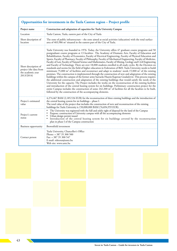| Opportunities for investments in the Tuzla Canton region – Project profile        |                                                                                                                                                                                                                                                                                                                                                                                                                                                                                                                                                                                                                                                                                                                                                                                                                                                                                                                                                                                                                                                                                                                                                                                                                                                                                                                                                                                                                                                                                                                                                                                                                                                                                       |  |
|-----------------------------------------------------------------------------------|---------------------------------------------------------------------------------------------------------------------------------------------------------------------------------------------------------------------------------------------------------------------------------------------------------------------------------------------------------------------------------------------------------------------------------------------------------------------------------------------------------------------------------------------------------------------------------------------------------------------------------------------------------------------------------------------------------------------------------------------------------------------------------------------------------------------------------------------------------------------------------------------------------------------------------------------------------------------------------------------------------------------------------------------------------------------------------------------------------------------------------------------------------------------------------------------------------------------------------------------------------------------------------------------------------------------------------------------------------------------------------------------------------------------------------------------------------------------------------------------------------------------------------------------------------------------------------------------------------------------------------------------------------------------------------------|--|
| Project name                                                                      | Construction and adaptation of capacities for Tuzla University Campus                                                                                                                                                                                                                                                                                                                                                                                                                                                                                                                                                                                                                                                                                                                                                                                                                                                                                                                                                                                                                                                                                                                                                                                                                                                                                                                                                                                                                                                                                                                                                                                                                 |  |
| Location                                                                          | Tuzla Canton, Tuzla, eastern part of the City of Tuzla                                                                                                                                                                                                                                                                                                                                                                                                                                                                                                                                                                                                                                                                                                                                                                                                                                                                                                                                                                                                                                                                                                                                                                                                                                                                                                                                                                                                                                                                                                                                                                                                                                |  |
| Short description of<br>location                                                  | The zone of public infrastructure - the zone aimed at social activities (education) with the total surface<br>area of 403,986 m <sup>2</sup> situated in the eastern part of the City of Tuzla.                                                                                                                                                                                                                                                                                                                                                                                                                                                                                                                                                                                                                                                                                                                                                                                                                                                                                                                                                                                                                                                                                                                                                                                                                                                                                                                                                                                                                                                                                       |  |
| Short description of<br>project (the data from<br>the academic year<br>2013/2014) | Tuzla University was founded in 1976. Today, the University offers 47 graduate course programs and 50<br>postgraduate course programs at 13 faculties: The Academy of Dramatic Arts, Faculty of Education and<br>Rehabilitation, Faculty of Economics, Faculty of Electrical Engineering, Faculty of Physical Education and<br>Sports, Faculty of Pharmacy, Faculty of Philosophy, Faculty of Mechanical Engineering, Faculty of Medicine,<br>Faculty of Law, Faculty of Natural Science and Mathematics, Faculty of Mining, Geology and Civil Engineering<br>and Faculty of Technology. There are over 18,000 students enrolled in all study cycles. By the Decision on<br>standards and norms for the field of higher education in Federation of BiH, Tuzla University needs to build<br>minimum 75,000 m <sup>2</sup> of facilities and reconstruct and adapt to students' needs 15.000 m <sup>2</sup> of the existing<br>premises. The construction is implemented through the construction of new and adaptation of the existing<br>buildings within the campus of the former army barracks Husein Kapetan Gradaščević. This process requires<br>the additional construction and adaptation of the existing buildings that would satisfy the needs of the<br>University for the capacity. The Project includes the works on the reconstruction of the existing facilities<br>and introduction of the central heating system for six buildings. Preliminary construction project for the<br>entire Campus includes the construction of some 242.200 m <sup>2</sup> of facilities for all the faculties to be built,<br>followed by the construction of the accompanying elements. |  |
| Project's estimated<br>value                                                      | 4,274,467 BAM (2,185,534 EUR) for the reconstruction of three existing buildings and the introduction of<br>the central heating system for six buildings - phase I.<br>The total value of the project that includes the construction of new and reconstruction of the existing<br>buildings for Tuzla University is 150,000,000 BAM (76,694,959 EUR).                                                                                                                                                                                                                                                                                                                                                                                                                                                                                                                                                                                                                                                                                                                                                                                                                                                                                                                                                                                                                                                                                                                                                                                                                                                                                                                                 |  |
| Project's current<br>status                                                       | The University was registered with the full and solely right of disposal for the land of the Campus<br>Purpose: construction of University campus with all the accompanying elements<br>Urban design permit issued<br>Introduction of the central heating system for six buildings covered by the reconstruction<br>٠<br>plan in phase I of the Campus construction                                                                                                                                                                                                                                                                                                                                                                                                                                                                                                                                                                                                                                                                                                                                                                                                                                                                                                                                                                                                                                                                                                                                                                                                                                                                                                                   |  |
| <b>Business opportunity</b>                                                       | Brownfield investment                                                                                                                                                                                                                                                                                                                                                                                                                                                                                                                                                                                                                                                                                                                                                                                                                                                                                                                                                                                                                                                                                                                                                                                                                                                                                                                                                                                                                                                                                                                                                                                                                                                                 |  |
| Contact person                                                                    | Tuzla University, Chancellor's Office<br>Phone: +387 35 300 500<br>Fax: + 387 35 300 547<br>E-mail: rektorat@untz.ba<br>Web site: www.untz.ba                                                                                                                                                                                                                                                                                                                                                                                                                                                                                                                                                                                                                                                                                                                                                                                                                                                                                                                                                                                                                                                                                                                                                                                                                                                                                                                                                                                                                                                                                                                                         |  |

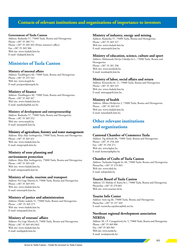### **Contacts of relevant institutions and organizations of importance to investors**

#### **Government of Tuzla Canton**

Address: Rudarska 57, 75000 Tuzla, Bosnia and Herzegovina Phone: +387 35 280 711 Phone: +387 35 369 303 (Prime minister's office) Fax: +387 35 369 306 Web site: www.vladatk.kim.ba E-mail: vlada@tk.kim.ba

### **Ministries of Tuzla Canton**

#### **Ministry of internal affairs**

Address: Turalibegova bb, 75000 Tuzla, Bosnia and Herzegovina Phone: +387 35 255 543 Web site: www.muptk.ba E-mail: portparol@muptk.ba

#### **Ministry of finance**

Address: Turalibegova 40, 75000 Tuzla, Bosnia and Herzegovina Phone: +387 35 369 367 Web site: www.vladatk.kim.ba E-mail: minfintk@bih.net.ba

#### **Ministry of development and entrepreneurship**

Address: Rudarska 57, 75000 Tuzla, Bosnia and Herzegovina Phone: +387 35 369 352 Web site: www.mrptk.ba E-mail: minrp@tk.kim.ba

#### **Ministry of agriculture, forestry and water management**

Address: Aleja Alije Izetbegovića, 75000 Tuzla, Bosnia and Herzegovina Phone: +387 35 369 421 Web site: www.vladatk.kim.ba E-mail: minpvs@tk.kim.ba

### **Ministry of zone planning and**

#### **environment protection**

Address: Aleja Alije Izetbegovića, 75000 Tuzla, Bosnia and Herzegovina Phone: +387 35 369 428 Web site: www.vladatk.kim.ba E-mail: minpuzo@tk.kim.ba

#### **Ministry of trade, tourism and transport**

Address: Fra Grge Martića 8, 75000 Tuzla, Bosnia and Herzegovina Phone: +387 35 369 393 Web site: www.vladatk.kim.ba E-mail: mintts@tk.kim.ba

### **Ministry of justice and administration**

Address: Džafer mahala 51, 75000 Tuzla, Bosnia and Herzegovina Phone : +387 35 369 375 Web site: www.vladatk.kim.ba E-mail: minpu@tk.kim.ba

#### **Ministry of veterans' affairs**

Address: Fra Grge Martića 8, 75000 Tuzla, Bosnia and Herzegovina Phone: +387 35 369 401/402 Web site: www.vladatk.kim.ba E-mail: minbp@tk.kim.ba

#### **Ministry of industry, energy and mining**

Address: Rudarska 57, 75000 Tuzla, Bosnia and Herzegovina Phone: +387 35 369 327 Web site: www.vladatk.kim.ba E-mail: minier@tk.kim.ba

#### **Ministry of education, science, culture and sport**

Address: Muhameda Hevija Uskufija br.1., 75000 Tuzla, Bosnia and Herzegovina Phone: +387 35 281 296 Web site: www.monkstk.ba

E-mail: monks@tk.kim.ba

#### **Ministry of labor, social affairs and return**

Address: Kozaračka br. 11, 75000 Tuzla, Bosnia and Herzegovina Phone: +387 35 369 335 Web site: www.vladatk.kim.ba E-mail: minrspp@tk.kim.ba

#### **Ministry of health**

Address: Albina Herljevića 2, 75000 Tuzla, Bosnia and Herzegovina Phone : +387 35 369 419 Web site: www.vladatk.kim.ba E-mail: minzdr@tk.kim.ba

### **Other relevant institutions and organizations**

#### **Cantonal Chamber of Commerce Tuzla**

Address: Trg slobode bb, 75000 Tuzla, Bosnia and Herzegovina Phone: +387 35 258 260 Fax: +387 35 258 271 Web site: www.kpktz.ba E-mail: komora@kpktz.ba

#### **Chamber of Crafts of Tuzla Canton**

Address: Tuzlanske brigade br. 60, 75000 Tuzla, Bosnia and Herzegovina Phone/fax: +387 35 270 065 Web site: www.oktk.ba E-mail: info@oktk.ba

#### **Tourist Board of Tuzla Canton**

Address: Ul. Muftije ef. Kurta br.1, 75000 Tuzla, Bosnia and Herzegovina Phone/fax: +387 35 270 065 Web site: www.tourism-tk.ba

#### **Tourist Info Center**

Address: Soni trg bb, 75000 Tuzla, Bosnia and Herzegovina Phone/fax: +387 35 257 449 E-mail: turisticka.zajednica@bih.net.ba

#### **Northeast regional development association NERDA**

Address: M. i Ž. Crnogorčevića br. 5, 75000 Tuzla, Bosnia and Herzegovina Phone: +387 35 369 900 Fax: +387 35 369 903 Web site: www.nerda.ba E-mail: nerda@nerda.ba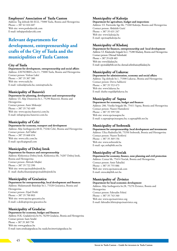#### **Employers' Association of Tuzla Canton**

Address: Trg slobode bb II/22, 75000 Tuzla, Bosnia and Herzegovina Phone: + 387 61 024 687 Web site: www.poslodavcitk.com E-mail: info@poslodavcitk.com

### **Relevant departments for development, entrepreneurship and crafts of the City of Tuzla and the municipalities of Tuzla Canton**

### **City of Tuzla**

#### **Department for development, entrepreneurship and social affairs**

Address: ZAVNOBIH-a br.11, 75000 Tuzla, Bosnia and Herzegovina Contact person: Vedran Lakić Phone: + 387 35 307 380 Web site: www.tuzla.ba E-mail: vedranl@tuzla.ba; esmirs@tuzla.ba

#### **Municipality of Banovići**

**Department for planning, development and entrepreneurship**  Address: Ul. Alije Dostovića br.1, 75290 Banovići, Bosnia and Herzegovina Contact person: Amir Mrkonjić Phone: + 387 35 743 409 Web site: www.opcina-banovici.com.ba E-mail: info@opcina-banovici.com.ba

### **Municipality of Čelić**

#### **Department for economy, transport and development**

Address: Alije Izetbegovića 60-II, 75246 Čelić, Bosnia and Herzegovina Contact person: Arif Salkić Phone: + 387 35 668 654 Web site: www.celic.com.ba E-mail: opcelic@gmail.com

### **Municipality of Doboj Istok**

#### **Department for finances and entrepreneurship**  Address: Klokotnica-Doboj Istok, Klokotnica bb, 74207 Doboj Istok, Bosnia and Herzegovina Contact person: Alirizah Mujkić Phone: + 387 35 722 390 Web site: www.opcinadobojistok.ba E -mail: sluzba.finansije@opcinadobojistok.ba

### **Municipality of Gračanica**

**Department for entrepreneurship, local development and finances**  Address: Mulamustafe Bašeskije br.1, 75320 Gračanica, Bosnia and Herzegovina Contact person: Zijad Dedić Phone: + 387 35 700 803 Web site: www.opcina-gracanica.ba E-mail: z.dedic@opcina-gracanica.ba

### **Municipality of Gradačac**

**Department for economy, budget and finances**  Address: H.K. Gradašćevića br.54, 76250 Gradačac, Bosnia and Herzegovina Contact person: Isam Sendić Phone: + 387 35 369 750 Web site: www.gradacac.ba E-mail: isam.sendic@gradacac.ba; suada.hecimovic@gradacac.ba

#### **Municipality of Kalesija**

**Department for agriculture, budget and inspections**  Address: Ul. Patriotske lige bb, 75260 Kalesija, Bosnia and Herzegovina Contact person: Abdulah Gutić Phone: + 387 35 631 247 Web site: www.kalesija.ba E-mail: opcina@kalesija.ba

### **Municipality of Kladanj**

#### **Department for finances, entrepreneurship and local development**

Address: Ul. Kladanjske brigade br.2, 75280 Kladanj, Bosnia and Herzegovina Contact person: Dženad Selimbašić Phone: + 387 35 628 483 Web site: www.kladanj.ba E-mail: opcinakl@bih.net.ba; dzenad.selimbasic@kladanj.ba

### **Municipality of Lukavac**

**Department for administration, economy and social affairs**  Address: Trg slobode br.1, 75300 Lukavac, Bosnia and Herzegovina Contact person: Derva Salihović Phone: + 387 35 553 473 Web site: www.lukavac.ba E-mail: sluzba-oupdd@lukavac.ba

### **Municipality of Sapna**

**Department for economy, budget and finances** Address: 206. Viteške brigade bb, 75411 Sapna, Bosnia and Herzegovina Contact person: Nusret Hamidović Phone: + 387 35 599 530 Web site: www.opcinasapna.ba E-mail: o.sapna@opcinasapna.ba; o.sapna@bih.net.ba

### **Municipality of Srebrenik**

**Department for entrepreneurship, local development and investments** Address: Ulica Radnička bb, 75350 Srebrenik, Bosnia and Herzegovina Contact person: Nusret Šerifović Phone: + 387 35 369 156 Web site: www.srebrenik.ba E-mail: opc.sreb@bih.net.ba

### **Municipality of Teočak**

**Department for economy, finance, zone planning and civil protection**  Address: Centar bb, 75414 Teočak, Bosnia and Herzegovina Contact person: Amir Šabačkić Phone: + 387 35 755 886 Web site: www.opcinateocak.com E-mail: oteocak@bih.net.ba

### **Municipality of Živinice**

**Department for local economic development**  Address: Alije Izetbegovića br.28, 75270 Živinice, Bosnia and Herzegovina Contact person: Fahrudin Fehrić Phone: + 387 35 743 340 Web site: www.opcinazivinice.org E-mail: fahrudin.fehric@opcinazivinice.org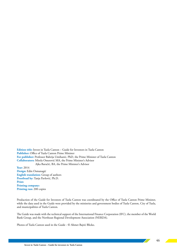**Edition title:** Invest in Tuzla Canton – Guide for Investors in Tuzla Canton **Publisher:** Office of Tuzla Canton Prime Minister **For publisher:** Professor Bahrija Umihanić, PhD, the Prime Minister of Tuzla Canton **Collaborators:** Mirela Omerović MA, the Prime Minister's Advisor Ajka Baručić, BA, the Prime Minister's Advisor **Year:** 2014 **Design:** Edin Osmanagić **English translation:** Group of authors **Proofread by:** Tanja Pavlović, Ph.D. **Print: Printing company:**

**Printing run:** 200 copies

Production of the Guide for Investors of Tuzla Canton was coordinated by the Office of Tuzla Canton Prime Minister, while the data used in the Guide were provided by the ministries and government bodies of Tuzla Canton, City of Tuzla, and municipalities of Tuzla Canton.

The Guide was made with the technical support of the International Finance Corporation (IFC), the member of the World Bank Group, and the Northeast Regional Development Association (NERDA).

Photos of Tuzla Canton used in the Guide - © Ahmet Bajrić Blicko.